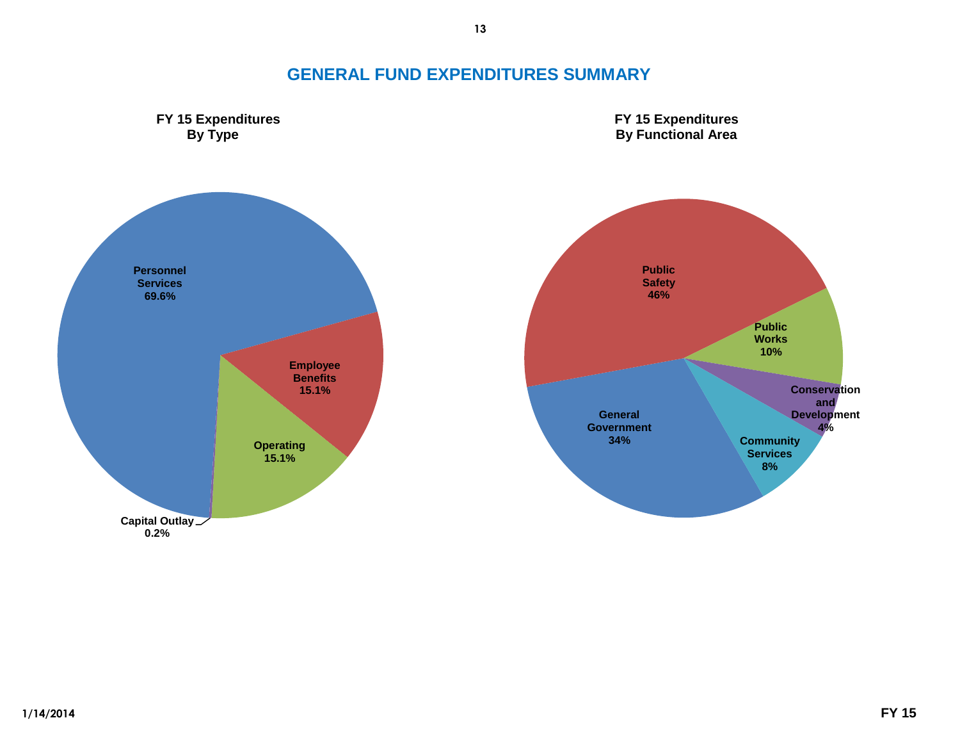## **GENERAL FUND EXPENDITURES SUMMARY**

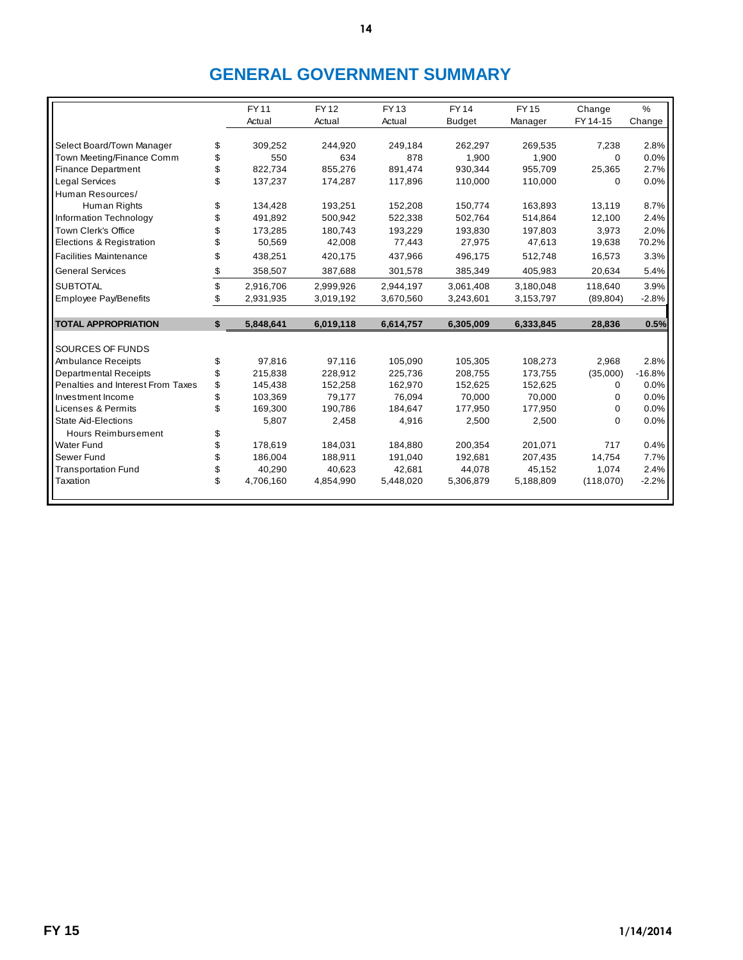# **GENERAL GOVERNMENT SUMMARY**

|                                   | <b>FY11</b>     | <b>FY12</b> | <b>FY13</b> | <b>FY14</b>   | <b>FY15</b> | Change    | $\frac{6}{6}$ |
|-----------------------------------|-----------------|-------------|-------------|---------------|-------------|-----------|---------------|
|                                   | Actual          | Actual      | Actual      | <b>Budget</b> | Manager     | FY 14-15  | Change        |
|                                   |                 |             |             |               |             |           |               |
| Select Board/Town Manager         | \$<br>309,252   | 244,920     | 249,184     | 262,297       | 269,535     | 7,238     | 2.8%          |
| Town Meeting/Finance Comm         | \$<br>550       | 634         | 878         | 1,900         | 1,900       | 0         | 0.0%          |
| <b>Finance Department</b>         | \$<br>822,734   | 855,276     | 891,474     | 930,344       | 955,709     | 25,365    | 2.7%          |
| <b>Legal Services</b>             | \$<br>137,237   | 174,287     | 117,896     | 110,000       | 110,000     | 0         | 0.0%          |
| Human Resources/                  |                 |             |             |               |             |           |               |
| Human Rights                      | \$<br>134,428   | 193,251     | 152,208     | 150,774       | 163,893     | 13,119    | 8.7%          |
| <b>Information Technology</b>     | \$<br>491,892   | 500,942     | 522,338     | 502.764       | 514,864     | 12,100    | 2.4%          |
| <b>Town Clerk's Office</b>        | \$<br>173,285   | 180,743     | 193,229     | 193,830       | 197,803     | 3,973     | 2.0%          |
| Elections & Registration          | \$<br>50,569    | 42,008      | 77,443      | 27,975        | 47,613      | 19,638    | 70.2%         |
| <b>Facilities Maintenance</b>     | \$<br>438,251   | 420,175     | 437,966     | 496,175       | 512,748     | 16,573    | 3.3%          |
| <b>General Services</b>           | \$<br>358,507   | 387,688     | 301,578     | 385,349       | 405,983     | 20,634    | 5.4%          |
| <b>SUBTOTAL</b>                   | \$<br>2,916,706 | 2,999,926   | 2,944,197   | 3,061,408     | 3,180,048   | 118,640   | 3.9%          |
| <b>Employee Pay/Benefits</b>      | \$<br>2,931,935 | 3,019,192   | 3,670,560   | 3,243,601     | 3,153,797   | (89, 804) | $-2.8%$       |
|                                   |                 |             |             |               |             |           |               |
| <b>TOTAL APPROPRIATION</b>        | \$<br>5,848,641 | 6,019,118   | 6,614,757   | 6,305,009     | 6,333,845   | 28,836    | 0.5%          |
|                                   |                 |             |             |               |             |           |               |
| SOURCES OF FUNDS                  |                 |             |             |               |             |           |               |
| Ambulance Receipts                | \$<br>97,816    | 97,116      | 105.090     | 105,305       | 108,273     | 2,968     | 2.8%          |
| <b>Departmental Receipts</b>      | \$<br>215,838   | 228,912     | 225,736     | 208,755       | 173,755     | (35,000)  | $-16.8%$      |
| Penalties and Interest From Taxes | \$<br>145,438   | 152,258     | 162,970     | 152,625       | 152,625     | 0         | 0.0%          |
| Investment Income                 | \$<br>103,369   | 79,177      | 76.094      | 70.000        | 70.000      | 0         | 0.0%          |
| Licenses & Permits                | \$<br>169,300   | 190,786     | 184,647     | 177,950       | 177,950     | 0         | 0.0%          |
| <b>State Aid-Elections</b>        | 5,807           | 2,458       | 4,916       | 2,500         | 2,500       | $\Omega$  | 0.0%          |
| Hours Reimbursement               | \$              |             |             |               |             |           |               |
| <b>Water Fund</b>                 | \$<br>178,619   | 184,031     | 184,880     | 200,354       | 201,071     | 717       | 0.4%          |
| Sewer Fund                        | \$<br>186,004   | 188,911     | 191,040     | 192,681       | 207,435     | 14,754    | 7.7%          |
| <b>Transportation Fund</b>        | \$<br>40.290    | 40,623      | 42.681      | 44.078        | 45,152      | 1,074     | 2.4%          |
| Taxation                          | \$<br>4,706,160 | 4,854,990   | 5,448,020   | 5,306,879     | 5,188,809   | (118,070) | $-2.2%$       |
|                                   |                 |             |             |               |             |           |               |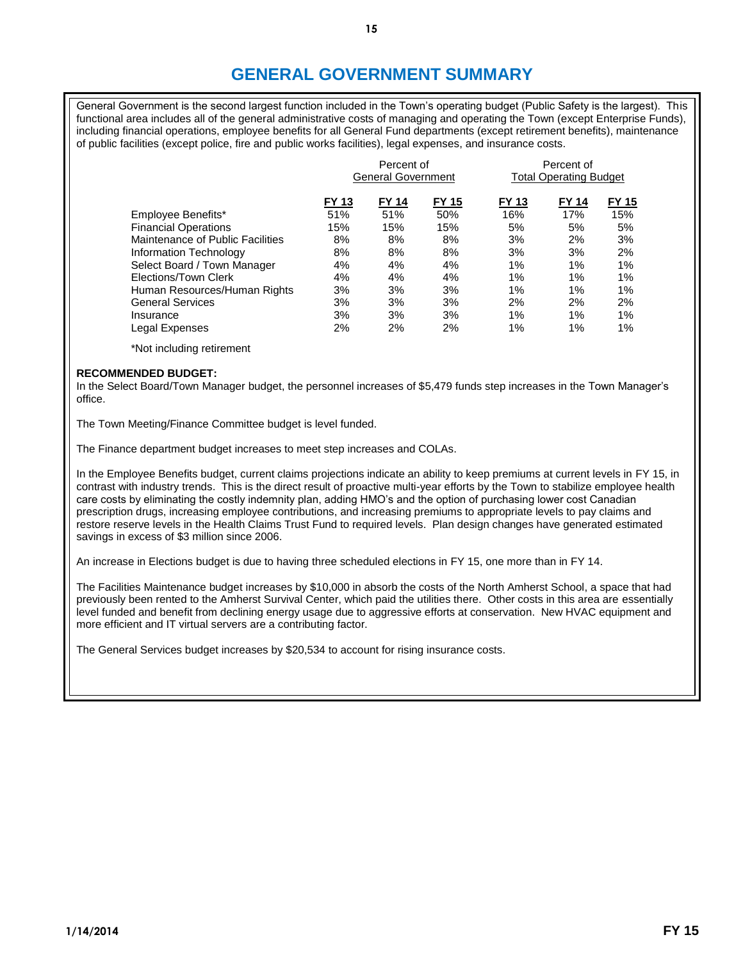# **GENERAL GOVERNMENT SUMMARY**

General Government is the second largest function included in the Town's operating budget (Public Safety is the largest). This functional area includes all of the general administrative costs of managing and operating the Town (except Enterprise Funds), including financial operations, employee benefits for all General Fund departments (except retirement benefits), maintenance of public facilities (except police, fire and public works facilities), legal expenses, and insurance costs.

|                                  | Percent of<br><b>General Government</b> |              |              |              | Percent of<br><b>Total Operating Budget</b> |              |  |  |
|----------------------------------|-----------------------------------------|--------------|--------------|--------------|---------------------------------------------|--------------|--|--|
|                                  | FY 13                                   | <b>FY 14</b> | <b>FY 15</b> | <b>FY 13</b> | <b>FY 14</b>                                | <b>FY 15</b> |  |  |
| Employee Benefits*               | 51%                                     | 51%          | 50%          | 16%          | 17%                                         | 15%          |  |  |
| <b>Financial Operations</b>      | 15%                                     | 15%          | 15%          | 5%           | 5%                                          | 5%           |  |  |
| Maintenance of Public Facilities | 8%                                      | 8%           | 8%           | 3%           | 2%                                          | 3%           |  |  |
| Information Technology           | 8%                                      | 8%           | 8%           | 3%           | 3%                                          | 2%           |  |  |
| Select Board / Town Manager      | 4%                                      | 4%           | 4%           | $1\%$        | 1%                                          | 1%           |  |  |
| Elections/Town Clerk             | 4%                                      | 4%           | 4%           | $1\%$        | 1%                                          | 1%           |  |  |
| Human Resources/Human Rights     | 3%                                      | 3%           | 3%           | $1\%$        | 1%                                          | 1%           |  |  |
| <b>General Services</b>          | 3%                                      | 3%           | 3%           | 2%           | 2%                                          | 2%           |  |  |
| Insurance                        | 3%                                      | 3%           | 3%           | $1\%$        | 1%                                          | 1%           |  |  |
| Legal Expenses                   | 2%                                      | 2%           | 2%           | 1%           | $1\%$                                       | 1%           |  |  |

\*Not including retirement

### **RECOMMENDED BUDGET:**

In the Select Board/Town Manager budget, the personnel increases of \$5,479 funds step increases in the Town Manager's office.

The Town Meeting/Finance Committee budget is level funded.

The Finance department budget increases to meet step increases and COLAs.

In the Employee Benefits budget, current claims projections indicate an ability to keep premiums at current levels in FY 15, in contrast with industry trends. This is the direct result of proactive multi-year efforts by the Town to stabilize employee health care costs by eliminating the costly indemnity plan, adding HMO's and the option of purchasing lower cost Canadian prescription drugs, increasing employee contributions, and increasing premiums to appropriate levels to pay claims and restore reserve levels in the Health Claims Trust Fund to required levels. Plan design changes have generated estimated savings in excess of \$3 million since 2006.

An increase in Elections budget is due to having three scheduled elections in FY 15, one more than in FY 14.

The Facilities Maintenance budget increases by \$10,000 in absorb the costs of the North Amherst School, a space that had previously been rented to the Amherst Survival Center, which paid the utilities there. Other costs in this area are essentially level funded and benefit from declining energy usage due to aggressive efforts at conservation. New HVAC equipment and more efficient and IT virtual servers are a contributing factor.

The General Services budget increases by \$20,534 to account for rising insurance costs.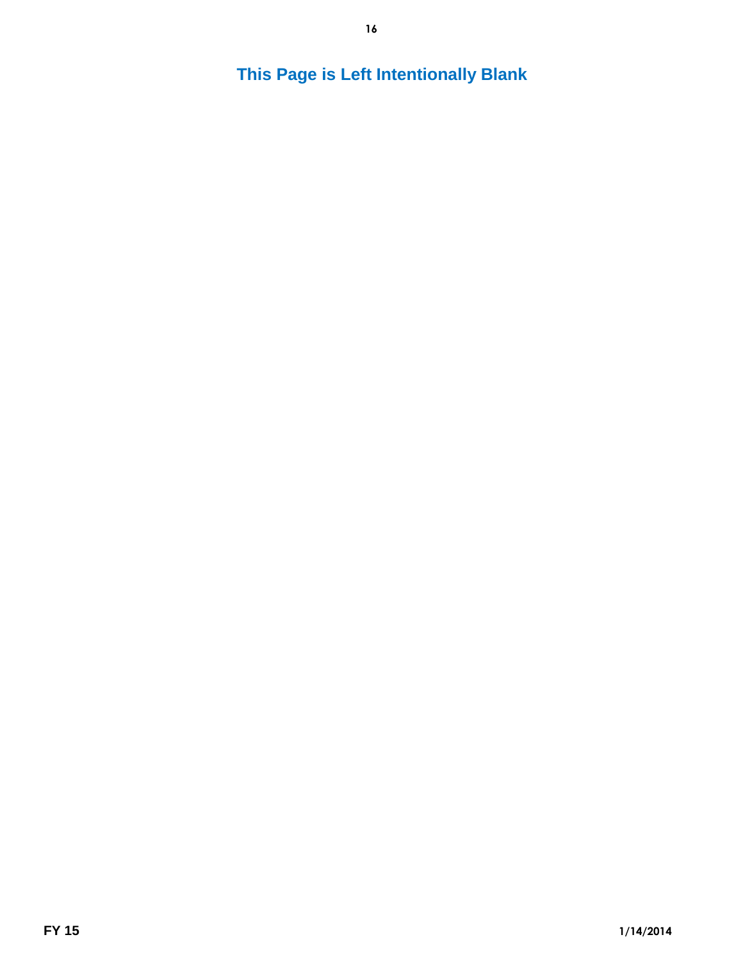**This Page is Left Intentionally Blank**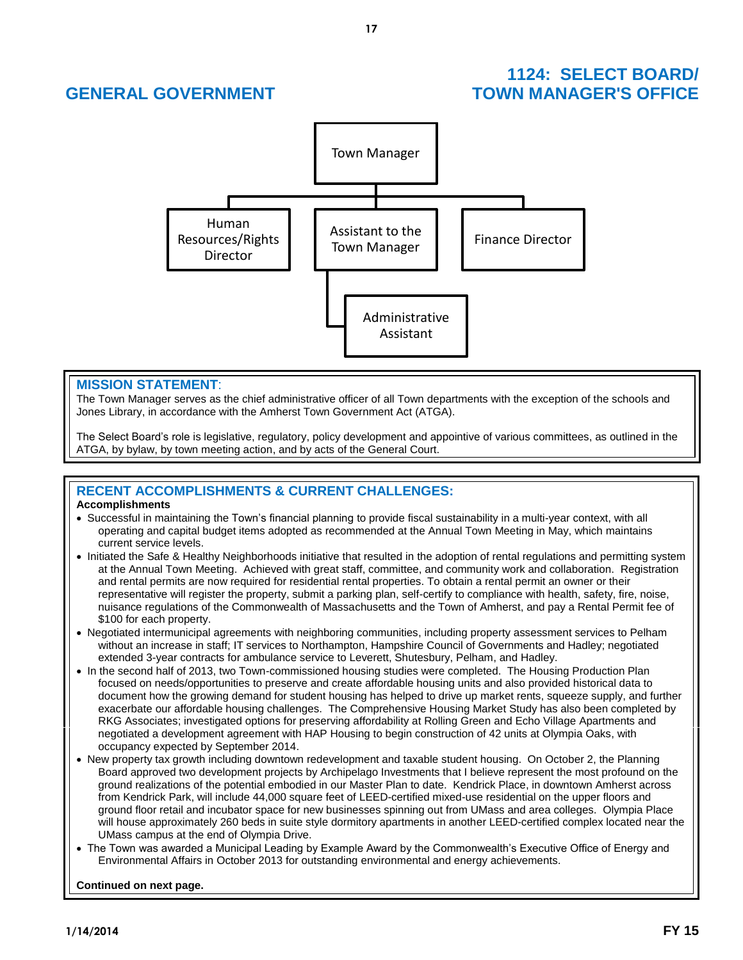## **1124: SELECT BOARD/ GENERAL GOVERNMENT TOWN MANAGER'S OFFICE**



### **MISSION STATEMENT**:

The Town Manager serves as the chief administrative officer of all Town departments with the exception of the schools and Jones Library, in accordance with the Amherst Town Government Act (ATGA).

The Select Board's role is legislative, regulatory, policy development and appointive of various committees, as outlined in the ATGA, by bylaw, by town meeting action, and by acts of the General Court.

### **RECENT ACCOMPLISHMENTS & CURRENT CHALLENGES:**

### **Accomplishments**

- Successful in maintaining the Town's financial planning to provide fiscal sustainability in a multi-year context, with all operating and capital budget items adopted as recommended at the Annual Town Meeting in May, which maintains current service levels.
- Initiated the Safe & Healthy Neighborhoods initiative that resulted in the adoption of rental regulations and permitting system at the Annual Town Meeting. Achieved with great staff, committee, and community work and collaboration. Registration and rental permits are now required for residential rental properties. To obtain a rental permit an owner or their representative will register the property, submit a parking plan, self-certify to compliance with health, safety, fire, noise, nuisance regulations of the Commonwealth of Massachusetts and the Town of Amherst, and pay a Rental Permit fee of \$100 for each property.
- Negotiated intermunicipal agreements with neighboring communities, including property assessment services to Pelham without an increase in staff; IT services to Northampton, Hampshire Council of Governments and Hadley; negotiated extended 3-year contracts for ambulance service to Leverett, Shutesbury, Pelham, and Hadley.
- In the second half of 2013, two Town-commissioned housing studies were completed. The Housing Production Plan focused on needs/opportunities to preserve and create affordable housing units and also provided historical data to document how the growing demand for student housing has helped to drive up market rents, squeeze supply, and further exacerbate our affordable housing challenges. The Comprehensive Housing Market Study has also been completed by RKG Associates; investigated options for preserving affordability at Rolling Green and Echo Village Apartments and negotiated a development agreement with HAP Housing to begin construction of 42 units at Olympia Oaks, with occupancy expected by September 2014.
- New property tax growth including downtown redevelopment and taxable student housing. On October 2, the Planning Board approved two development projects by Archipelago Investments that I believe represent the most profound on the ground realizations of the potential embodied in our Master Plan to date. Kendrick Place, in downtown Amherst across from Kendrick Park, will include 44,000 square feet of LEED-certified mixed-use residential on the upper floors and ground floor retail and incubator space for new businesses spinning out from UMass and area colleges. Olympia Place will house approximately 260 beds in suite style dormitory apartments in another LEED-certified complex located near the UMass campus at the end of Olympia Drive.
- The Town was awarded a Municipal Leading by Example Award by the Commonwealth's Executive Office of Energy and Environmental Affairs in October 2013 for outstanding environmental and energy achievements.

### **Continued on next page.**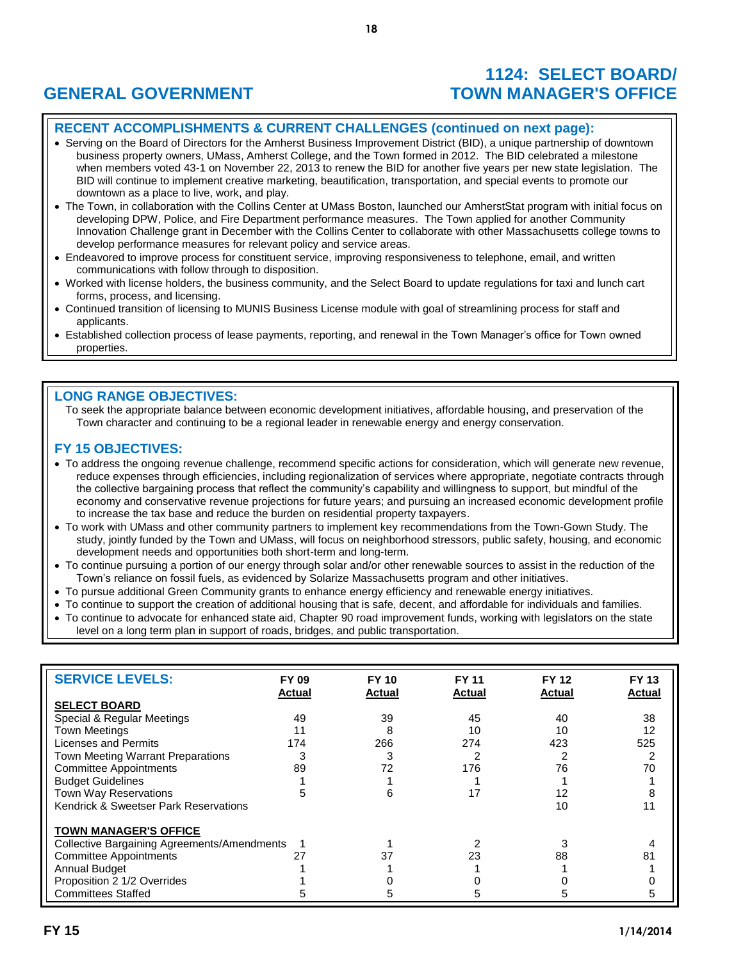# **1124: SELECT BOARD/ GENERAL GOVERNMENT TOWN MANAGER'S OFFICE**

### **RECENT ACCOMPLISHMENTS & CURRENT CHALLENGES (continued on next page):**

- Serving on the Board of Directors for the Amherst Business Improvement District (BID), a unique partnership of downtown business property owners, UMass, Amherst College, and the Town formed in 2012. The BID celebrated a milestone when members voted 43-1 on November 22, 2013 to renew the BID for another five years per new state legislation. The BID will continue to implement creative marketing, beautification, transportation, and special events to promote our downtown as a place to live, work, and play.
- The Town, in collaboration with the Collins Center at UMass Boston, launched our AmherstStat program with initial focus on developing DPW, Police, and Fire Department performance measures. The Town applied for another Community Innovation Challenge grant in December with the Collins Center to collaborate with other Massachusetts college towns to develop performance measures for relevant policy and service areas.
- Endeavored to improve process for constituent service, improving responsiveness to telephone, email, and written communications with follow through to disposition.
- Worked with license holders, the business community, and the Select Board to update regulations for taxi and lunch cart forms, process, and licensing.
- Continued transition of licensing to MUNIS Business License module with goal of streamlining process for staff and applicants.
- Established collection process of lease payments, reporting, and renewal in the Town Manager's office for Town owned properties.

### **LONG RANGE OBJECTIVES:**

To seek the appropriate balance between economic development initiatives, affordable housing, and preservation of the Town character and continuing to be a regional leader in renewable energy and energy conservation.

- To address the ongoing revenue challenge, recommend specific actions for consideration, which will generate new revenue, reduce expenses through efficiencies, including regionalization of services where appropriate, negotiate contracts through the collective bargaining process that reflect the community's capability and willingness to support, but mindful of the economy and conservative revenue projections for future years; and pursuing an increased economic development profile to increase the tax base and reduce the burden on residential property taxpayers.
- To work with UMass and other community partners to implement key recommendations from the Town-Gown Study. The study, jointly funded by the Town and UMass, will focus on neighborhood stressors, public safety, housing, and economic development needs and opportunities both short-term and long-term.
- To continue pursuing a portion of our energy through solar and/or other renewable sources to assist in the reduction of the Town's reliance on fossil fuels, as evidenced by Solarize Massachusetts program and other initiatives.
- To pursue additional Green Community grants to enhance energy efficiency and renewable energy initiatives.
- To continue to support the creation of additional housing that is safe, decent, and affordable for individuals and families.
- To continue to advocate for enhanced state aid, Chapter 90 road improvement funds, working with legislators on the state level on a long term plan in support of roads, bridges, and public transportation.

| <b>SERVICE LEVELS:</b>                             | FY 09<br><b>Actual</b> | <b>FY 10</b><br><b>Actual</b> | <b>FY 11</b><br><b>Actual</b> | <b>FY 12</b><br><b>Actual</b> | <b>FY 13</b><br><b>Actual</b> |
|----------------------------------------------------|------------------------|-------------------------------|-------------------------------|-------------------------------|-------------------------------|
| <b>SELECT BOARD</b>                                |                        |                               |                               |                               |                               |
| Special & Regular Meetings                         | 49                     | 39                            | 45                            | 40                            | 38                            |
| <b>Town Meetings</b>                               |                        | 8                             | 10                            | 10                            | 12                            |
| Licenses and Permits                               | 174                    | 266                           | 274                           | 423                           | 525                           |
| Town Meeting Warrant Preparations                  | 3                      | 3                             |                               |                               | 2                             |
| <b>Committee Appointments</b>                      | 89                     | 72                            | 176                           | 76                            | 70                            |
| <b>Budget Guidelines</b>                           |                        |                               |                               |                               |                               |
| Town Way Reservations                              | 5                      | 6                             | 17                            | 12                            |                               |
| Kendrick & Sweetser Park Reservations              |                        |                               |                               | 10                            |                               |
|                                                    |                        |                               |                               |                               |                               |
| <b>TOWN MANAGER'S OFFICE</b>                       |                        |                               |                               |                               |                               |
| <b>Collective Bargaining Agreements/Amendments</b> |                        |                               |                               |                               |                               |
| <b>Committee Appointments</b>                      | 27                     | 37                            | 23                            | 88                            | 81                            |
| Annual Budget                                      |                        |                               |                               |                               |                               |
| Proposition 2 1/2 Overrides                        |                        |                               |                               |                               |                               |
| <b>Committees Staffed</b>                          | ວ                      | 5                             | 5                             | 5                             | 5                             |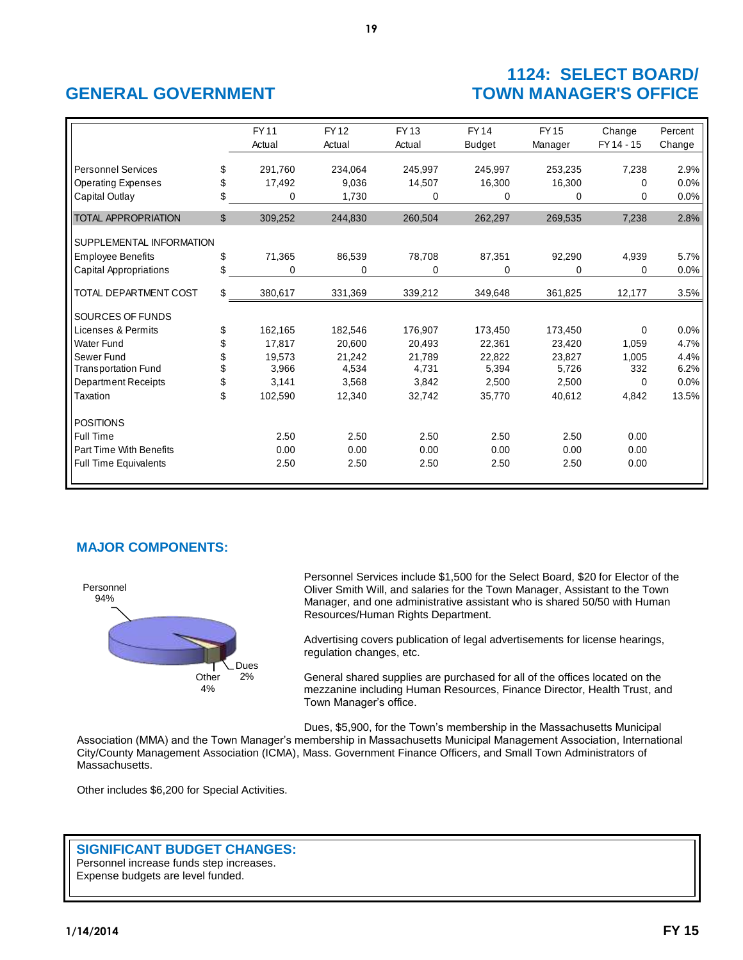# **1124: SELECT BOARD/ GENERAL GOVERNMENT TOWN MANAGER'S OFFICE**

|                              | <b>FY11</b><br>Actual | <b>FY12</b><br>Actual | <b>FY13</b><br>Actual | <b>FY14</b><br><b>Budget</b> | <b>FY15</b><br>Manager | Change<br>FY 14 - 15 | Percent<br>Change |
|------------------------------|-----------------------|-----------------------|-----------------------|------------------------------|------------------------|----------------------|-------------------|
| <b>Personnel Services</b>    | \$<br>291,760         | 234,064               | 245,997               | 245,997                      | 253,235                | 7,238                | 2.9%              |
| <b>Operating Expenses</b>    | \$<br>17,492          | 9,036                 | 14,507                | 16,300                       | 16,300                 | 0                    | 0.0%              |
| Capital Outlay               | \$<br>0               | 1.730                 | 0                     | 0                            | 0                      | 0                    | 0.0%              |
| <b>TOTAL APPROPRIATION</b>   | \$<br>309,252         | 244,830               | 260,504               | 262,297                      | 269,535                | 7,238                | 2.8%              |
| SUPPLEMENTAL INFORMATION     |                       |                       |                       |                              |                        |                      |                   |
| <b>Employee Benefits</b>     | \$<br>71,365          | 86,539                | 78,708                | 87,351                       | 92,290                 | 4,939                | 5.7%              |
| Capital Appropriations       | \$<br>0               | 0                     | 0                     | 0                            | $\Omega$               | 0                    | 0.0%              |
| TOTAL DEPARTMENT COST        | \$<br>380,617         | 331,369               | 339,212               | 349,648                      | 361,825                | 12,177               | 3.5%              |
| SOURCES OF FUNDS             |                       |                       |                       |                              |                        |                      |                   |
| Licenses & Permits           | \$<br>162,165         | 182,546               | 176,907               | 173.450                      | 173,450                | $\Omega$             | 0.0%              |
| Water Fund                   | \$<br>17,817          | 20,600                | 20,493                | 22,361                       | 23,420                 | 1,059                | 4.7%              |
| Sewer Fund                   | \$<br>19.573          | 21.242                | 21.789                | 22.822                       | 23.827                 | 1.005                | 4.4%              |
| <b>Transportation Fund</b>   | \$<br>3.966           | 4,534                 | 4,731                 | 5,394                        | 5,726                  | 332                  | 6.2%              |
| <b>Department Receipts</b>   | \$<br>3,141           | 3,568                 | 3,842                 | 2,500                        | 2,500                  | $\Omega$             | 0.0%              |
| Taxation                     | \$<br>102,590         | 12,340                | 32,742                | 35,770                       | 40,612                 | 4,842                | 13.5%             |
| <b>POSITIONS</b>             |                       |                       |                       |                              |                        |                      |                   |
| Full Time                    | 2.50                  | 2.50                  | 2.50                  | 2.50                         | 2.50                   | 0.00                 |                   |
| Part Time With Benefits      | 0.00                  | 0.00                  | 0.00                  | 0.00                         | 0.00                   | 0.00                 |                   |
| <b>Full Time Equivalents</b> | 2.50                  | 2.50                  | 2.50                  | 2.50                         | 2.50                   | 0.00                 |                   |
|                              |                       |                       |                       |                              |                        |                      |                   |

### **MAJOR COMPONENTS:**



Personnel Services include \$1,500 for the Select Board, \$20 for Elector of the Oliver Smith Will, and salaries for the Town Manager, Assistant to the Town Manager, and one administrative assistant who is shared 50/50 with Human Resources/Human Rights Department.

Advertising covers publication of legal advertisements for license hearings, regulation changes, etc.

General shared supplies are purchased for all of the offices located on the mezzanine including Human Resources, Finance Director, Health Trust, and Town Manager's office.

Dues, \$5,900, for the Town's membership in the Massachusetts Municipal

Association (MMA) and the Town Manager's membership in Massachusetts Municipal Management Association, International City/County Management Association (ICMA), Mass. Government Finance Officers, and Small Town Administrators of Massachusetts.

Other includes \$6,200 for Special Activities.

### **SIGNIFICANT BUDGET CHANGES:**

Personnel increase funds step increases. Expense budgets are level funded.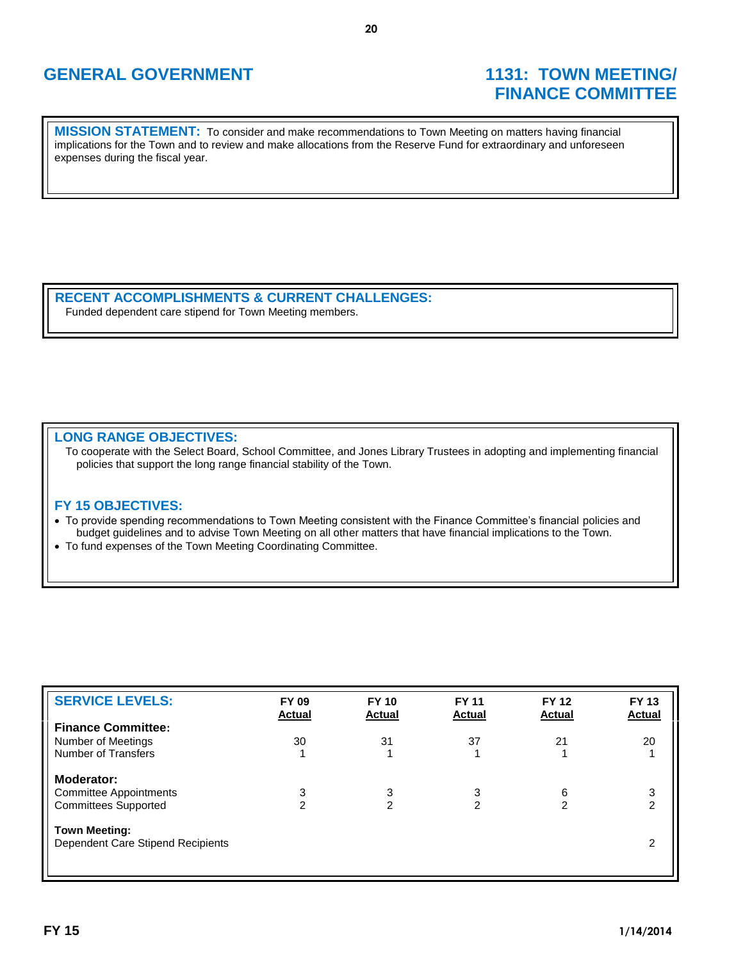# **FINANCE COMMITTEE**

**MISSION STATEMENT:** To consider and make recommendations to Town Meeting on matters having financial implications for the Town and to review and make allocations from the Reserve Fund for extraordinary and unforeseen expenses during the fiscal year.

**RECENT ACCOMPLISHMENTS & CURRENT CHALLENGES:**

Funded dependent care stipend for Town Meeting members.

### **LONG RANGE OBJECTIVES:**

To cooperate with the Select Board, School Committee, and Jones Library Trustees in adopting and implementing financial policies that support the long range financial stability of the Town.

### **FY 15 OBJECTIVES:**

 To provide spending recommendations to Town Meeting consistent with the Finance Committee's financial policies and budget guidelines and to advise Town Meeting on all other matters that have financial implications to the Town.

To fund expenses of the Town Meeting Coordinating Committee.

| <b>SERVICE LEVELS:</b>            | <b>FY 09</b><br><b>Actual</b> | <b>FY 10</b><br><b>Actual</b> | <b>FY 11</b><br><b>Actual</b> | <b>FY 12</b><br><b>Actual</b> | <b>FY 13</b><br><b>Actual</b> |
|-----------------------------------|-------------------------------|-------------------------------|-------------------------------|-------------------------------|-------------------------------|
| <b>Finance Committee:</b>         |                               |                               |                               |                               |                               |
| Number of Meetings                | 30                            | 31                            | 37                            | 21                            | 20                            |
| Number of Transfers               |                               |                               |                               |                               | 1                             |
| Moderator:                        |                               |                               |                               |                               |                               |
| <b>Committee Appointments</b>     | 3                             | 3                             | 3                             | 6                             | 3                             |
| <b>Committees Supported</b>       | 2                             | 2                             | 2                             | 2                             | $\overline{2}$                |
| <b>Town Meeting:</b>              |                               |                               |                               |                               |                               |
| Dependent Care Stipend Recipients |                               |                               |                               |                               | $\overline{2}$                |
|                                   |                               |                               |                               |                               |                               |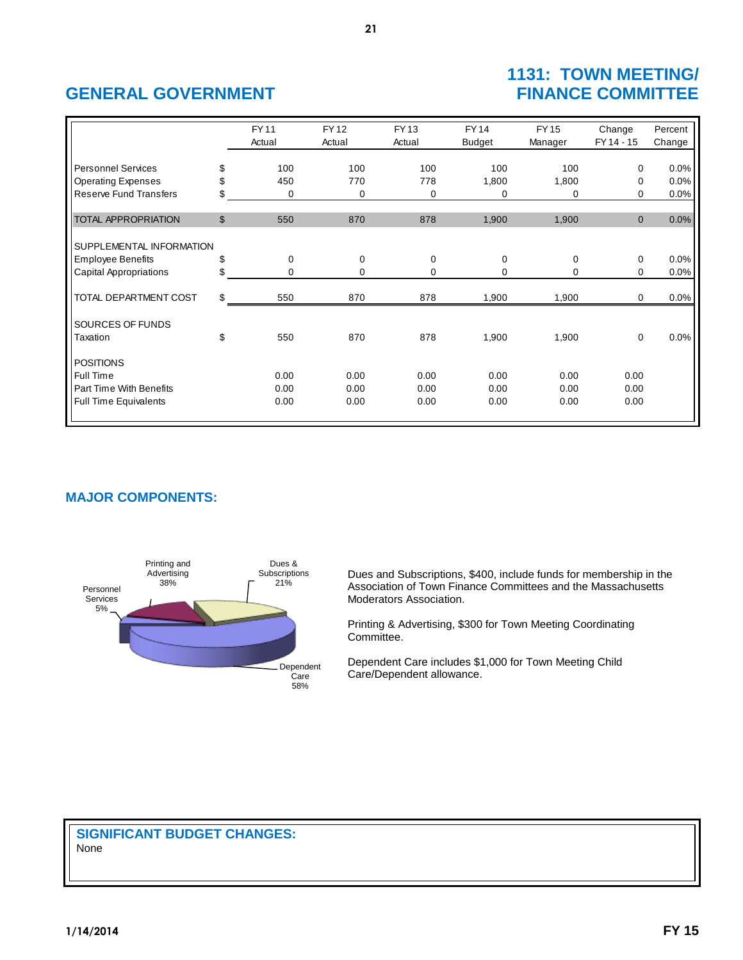# **GENERAL GOVERNMENT**

# **1131: TOWN MEETING/**

|                                                      |          | FY 11<br>Actual | FY 12<br>Actual         | FY13<br>Actual             | <b>FY14</b><br><b>Budget</b> | <b>FY15</b><br>Manager | Change<br>FY 14 - 15       | Percent<br>Change |
|------------------------------------------------------|----------|-----------------|-------------------------|----------------------------|------------------------------|------------------------|----------------------------|-------------------|
| <b>Personnel Services</b>                            | \$       | 100             | 100                     | 100                        | 100                          | 100                    | $\mathbf 0$                | 0.0%              |
| <b>Operating Expenses</b>                            | \$       | 450             | 770                     | 778                        | 1,800                        | 1,800                  | 0                          | 0.0%              |
| <b>Reserve Fund Transfers</b>                        | \$.      | 0               | 0                       | 0                          | 0                            | 0                      | $\mathbf 0$                | 0.0%              |
| <b>TOTAL APPROPRIATION</b>                           | \$       | 550             | 870                     | 878                        | 1,900                        | 1,900                  | $\overline{0}$             | 0.0%              |
| SUPPLEMENTAL INFORMATION<br><b>Employee Benefits</b> | \$<br>\$ | 0<br>0          | $\mathbf 0$<br>$\Omega$ | $\mathbf 0$<br>$\mathbf 0$ | $\mathbf 0$<br>$\mathbf 0$   | 0<br>0                 | $\mathbf 0$<br>$\mathbf 0$ | 0.0%<br>0.0%      |
| <b>Capital Appropriations</b>                        |          |                 |                         |                            |                              |                        |                            |                   |
| TOTAL DEPARTMENT COST                                | \$       | 550             | 870                     | 878                        | 1,900                        | 1,900                  | $\mathbf 0$                | 0.0%              |
| SOURCES OF FUNDS<br>Taxation                         | \$       | 550             | 870                     | 878                        | 1,900                        | 1,900                  | $\mathbf 0$                | 0.0%              |
| <b>POSITIONS</b>                                     |          |                 |                         |                            |                              |                        |                            |                   |
| Full Time                                            |          | 0.00            | 0.00                    | 0.00                       | 0.00                         | 0.00                   | 0.00                       |                   |
| Part Time With Benefits                              |          | 0.00            | 0.00                    | 0.00                       | 0.00                         | 0.00                   | 0.00                       |                   |
| <b>Full Time Equivalents</b>                         |          | 0.00            | 0.00                    | 0.00                       | 0.00                         | 0.00                   | 0.00                       |                   |

### **MAJOR COMPONENTS:**



Dues and Subscriptions, \$400, include funds for membership in the Association of Town Finance Committees and the Massachusetts Moderators Association.

Printing & Advertising, \$300 for Town Meeting Coordinating Committee.

Dependent Care includes \$1,000 for Town Meeting Child Care/Dependent allowance.

**SIGNIFICANT BUDGET CHANGES:** None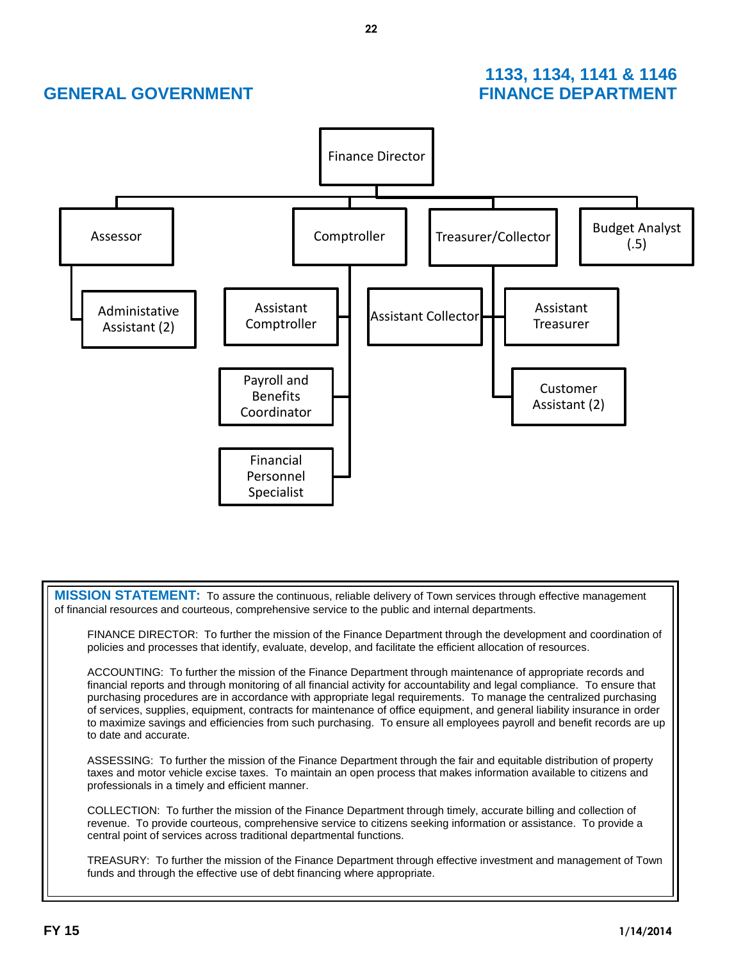**22**

## **GENERAL GOVERNMENT FINANCE DEPARTMENT**

# **1133, 1134, 1141 & 1146**



**MISSION STATEMENT:** To assure the continuous, reliable delivery of Town services through effective management of financial resources and courteous, comprehensive service to the public and internal departments.

FINANCE DIRECTOR: To further the mission of the Finance Department through the development and coordination of policies and processes that identify, evaluate, develop, and facilitate the efficient allocation of resources.

ACCOUNTING: To further the mission of the Finance Department through maintenance of appropriate records and financial reports and through monitoring of all financial activity for accountability and legal compliance. To ensure that purchasing procedures are in accordance with appropriate legal requirements. To manage the centralized purchasing of services, supplies, equipment, contracts for maintenance of office equipment, and general liability insurance in order to maximize savings and efficiencies from such purchasing. To ensure all employees payroll and benefit records are up to date and accurate.

ASSESSING: To further the mission of the Finance Department through the fair and equitable distribution of property taxes and motor vehicle excise taxes. To maintain an open process that makes information available to citizens and professionals in a timely and efficient manner.

COLLECTION: To further the mission of the Finance Department through timely, accurate billing and collection of revenue. To provide courteous, comprehensive service to citizens seeking information or assistance. To provide a central point of services across traditional departmental functions.

TREASURY: To further the mission of the Finance Department through effective investment and management of Town funds and through the effective use of debt financing where appropriate.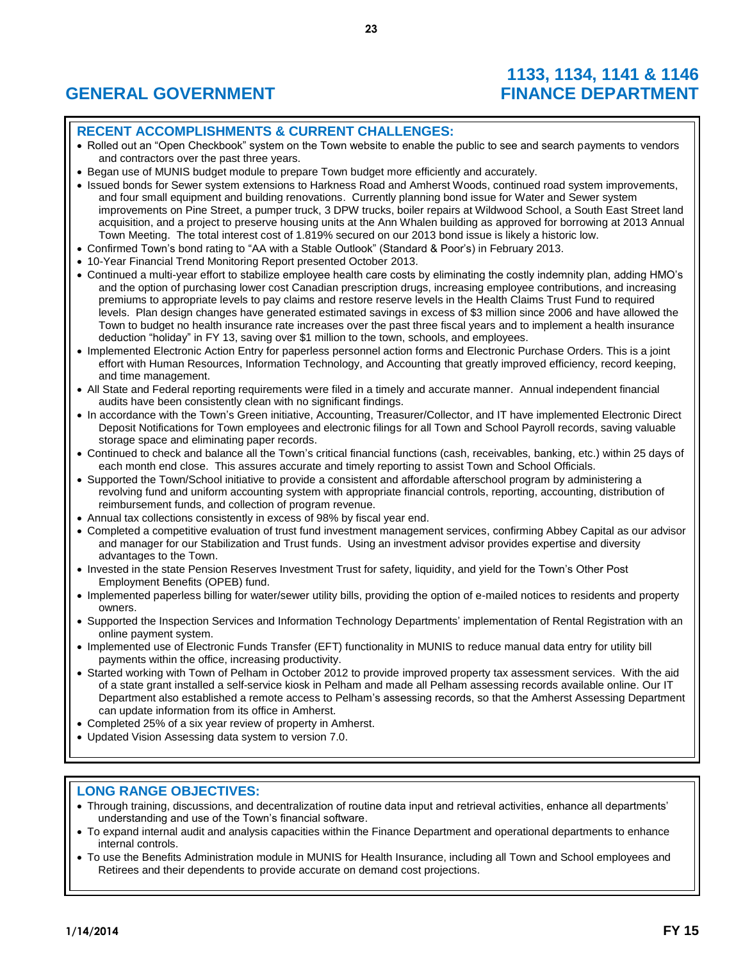# **GENERAL GOVERNMENT FINANCE DEPARTMENT**

# **1133, 1134, 1141 & 1146**

### **RECENT ACCOMPLISHMENTS & CURRENT CHALLENGES:**

- Rolled out an "Open Checkbook" system on the Town website to enable the public to see and search payments to vendors and contractors over the past three years.
- Began use of MUNIS budget module to prepare Town budget more efficiently and accurately.
- Issued bonds for Sewer system extensions to Harkness Road and Amherst Woods, continued road system improvements, and four small equipment and building renovations. Currently planning bond issue for Water and Sewer system improvements on Pine Street, a pumper truck, 3 DPW trucks, boiler repairs at Wildwood School, a South East Street land acquisition, and a project to preserve housing units at the Ann Whalen building as approved for borrowing at 2013 Annual Town Meeting. The total interest cost of 1.819% secured on our 2013 bond issue is likely a historic low.
- Confirmed Town's bond rating to "AA with a Stable Outlook" (Standard & Poor's) in February 2013.
- 10-Year Financial Trend Monitoring Report presented October 2013.
- Continued a multi-year effort to stabilize employee health care costs by eliminating the costly indemnity plan, adding HMO's and the option of purchasing lower cost Canadian prescription drugs, increasing employee contributions, and increasing premiums to appropriate levels to pay claims and restore reserve levels in the Health Claims Trust Fund to required levels. Plan design changes have generated estimated savings in excess of \$3 million since 2006 and have allowed the Town to budget no health insurance rate increases over the past three fiscal years and to implement a health insurance deduction "holiday" in FY 13, saving over \$1 million to the town, schools, and employees.
- Implemented Electronic Action Entry for paperless personnel action forms and Electronic Purchase Orders. This is a joint effort with Human Resources, Information Technology, and Accounting that greatly improved efficiency, record keeping, and time management.
- All State and Federal reporting requirements were filed in a timely and accurate manner. Annual independent financial audits have been consistently clean with no significant findings.
- In accordance with the Town's Green initiative, Accounting, Treasurer/Collector, and IT have implemented Electronic Direct Deposit Notifications for Town employees and electronic filings for all Town and School Payroll records, saving valuable storage space and eliminating paper records.
- Continued to check and balance all the Town's critical financial functions (cash, receivables, banking, etc.) within 25 days of each month end close. This assures accurate and timely reporting to assist Town and School Officials.
- Supported the Town/School initiative to provide a consistent and affordable afterschool program by administering a revolving fund and uniform accounting system with appropriate financial controls, reporting, accounting, distribution of reimbursement funds, and collection of program revenue.
- Annual tax collections consistently in excess of 98% by fiscal year end.
- Completed a competitive evaluation of trust fund investment management services, confirming Abbey Capital as our advisor and manager for our Stabilization and Trust funds. Using an investment advisor provides expertise and diversity advantages to the Town.
- Invested in the state Pension Reserves Investment Trust for safety, liquidity, and yield for the Town's Other Post Employment Benefits (OPEB) fund.
- Implemented paperless billing for water/sewer utility bills, providing the option of e-mailed notices to residents and property owners.
- Supported the Inspection Services and Information Technology Departments' implementation of Rental Registration with an online payment system.
- Implemented use of Electronic Funds Transfer (EFT) functionality in MUNIS to reduce manual data entry for utility bill payments within the office, increasing productivity.
- Started working with Town of Pelham in October 2012 to provide improved property tax assessment services. With the aid of a state grant installed a self-service kiosk in Pelham and made all Pelham assessing records available online. Our IT Department also established a remote access to Pelham's assessing records, so that the Amherst Assessing Department can update information from its office in Amherst.
- Completed 25% of a six year review of property in Amherst.
- Updated Vision Assessing data system to version 7.0.

### **LONG RANGE OBJECTIVES:**

- Through training, discussions, and decentralization of routine data input and retrieval activities, enhance all departments' understanding and use of the Town's financial software.
- To expand internal audit and analysis capacities within the Finance Department and operational departments to enhance internal controls.
- To use the Benefits Administration module in MUNIS for Health Insurance, including all Town and School employees and Retirees and their dependents to provide accurate on demand cost projections.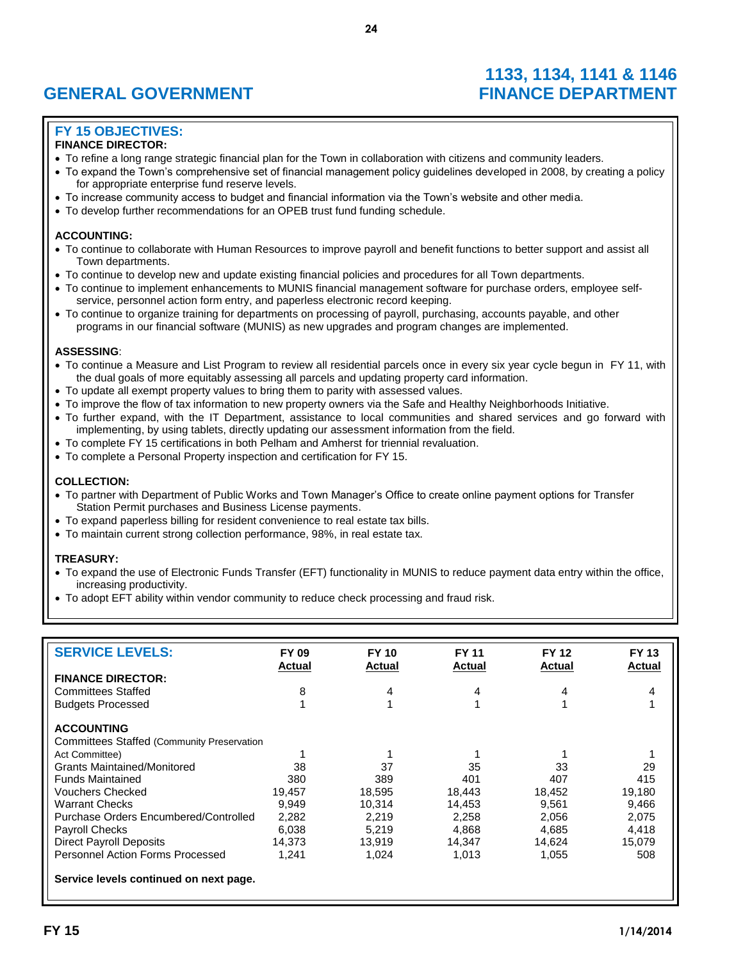# **GENERAL GOVERNMENT FINANCE DEPARTMENT**

# **1133, 1134, 1141 & 1146**

### **FY 15 OBJECTIVES:**

### **FINANCE DIRECTOR:**

- To refine a long range strategic financial plan for the Town in collaboration with citizens and community leaders.
- To expand the Town's comprehensive set of financial management policy guidelines developed in 2008, by creating a policy for appropriate enterprise fund reserve levels.
- To increase community access to budget and financial information via the Town's website and other media.
- To develop further recommendations for an OPEB trust fund funding schedule.

### **ACCOUNTING:**

- To continue to collaborate with Human Resources to improve payroll and benefit functions to better support and assist all Town departments.
- To continue to develop new and update existing financial policies and procedures for all Town departments.
- To continue to implement enhancements to MUNIS financial management software for purchase orders, employee selfservice, personnel action form entry, and paperless electronic record keeping.
- To continue to organize training for departments on processing of payroll, purchasing, accounts payable, and other programs in our financial software (MUNIS) as new upgrades and program changes are implemented.

### **ASSESSING**:

- To continue a Measure and List Program to review all residential parcels once in every six year cycle begun in FY 11, with the dual goals of more equitably assessing all parcels and updating property card information.
- To update all exempt property values to bring them to parity with assessed values.
- To improve the flow of tax information to new property owners via the Safe and Healthy Neighborhoods Initiative.
- To further expand, with the IT Department, assistance to local communities and shared services and go forward with implementing, by using tablets, directly updating our assessment information from the field.
- To complete FY 15 certifications in both Pelham and Amherst for triennial revaluation.
- To complete a Personal Property inspection and certification for FY 15.

### **COLLECTION:**

- To partner with Department of Public Works and Town Manager's Office to create online payment options for Transfer Station Permit purchases and Business License payments.
- To expand paperless billing for resident convenience to real estate tax bills.
- To maintain current strong collection performance, 98%, in real estate tax.

### **TREASURY:**

- To expand the use of Electronic Funds Transfer (EFT) functionality in MUNIS to reduce payment data entry within the office, increasing productivity.
- To adopt EFT ability within vendor community to reduce check processing and fraud risk.

| <b>SERVICE LEVELS:</b>                             | FY 09<br>Actual | <b>FY 10</b><br><b>Actual</b> | <b>FY 11</b><br><b>Actual</b> | <b>FY 12</b><br><b>Actual</b> | <b>FY 13</b><br>Actual |
|----------------------------------------------------|-----------------|-------------------------------|-------------------------------|-------------------------------|------------------------|
| <b>FINANCE DIRECTOR:</b>                           |                 |                               |                               |                               |                        |
| <b>Committees Staffed</b>                          | 8               | 4                             | 4                             | 4                             | 4                      |
| <b>Budgets Processed</b>                           |                 |                               |                               |                               |                        |
| <b>ACCOUNTING</b>                                  |                 |                               |                               |                               |                        |
| <b>Committees Staffed (Community Preservation)</b> |                 |                               |                               |                               |                        |
| Act Committee)                                     |                 |                               |                               |                               |                        |
| <b>Grants Maintained/Monitored</b>                 | 38              | 37                            | 35                            | 33                            | 29                     |
| <b>Funds Maintained</b>                            | 380             | 389                           | 401                           | 407                           | 415                    |
| <b>Vouchers Checked</b>                            | 19,457          | 18,595                        | 18,443                        | 18,452                        | 19,180                 |
| <b>Warrant Checks</b>                              | 9,949           | 10.314                        | 14,453                        | 9,561                         | 9,466                  |
| Purchase Orders Encumbered/Controlled              | 2,282           | 2,219                         | 2,258                         | 2,056                         | 2.075                  |
| <b>Payroll Checks</b>                              | 6,038           | 5,219                         | 4,868                         | 4,685                         | 4,418                  |
| <b>Direct Payroll Deposits</b>                     | 14.373          | 13,919                        | 14,347                        | 14,624                        | 15,079                 |
| Personnel Action Forms Processed                   | 1,241           | 1,024                         | 1,013                         | 1,055                         | 508                    |
| Service levels continued on next page.             |                 |                               |                               |                               |                        |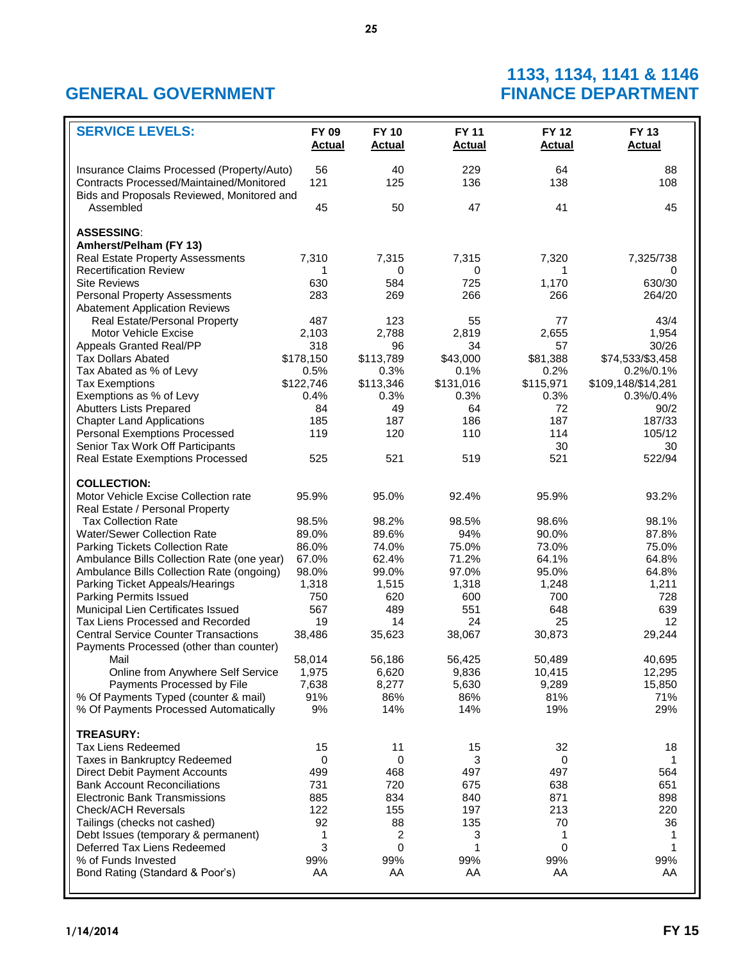# **GENERAL GOVERNMENT FINANCE DEPARTMENT**

# **1133, 1134, 1141 & 1146**

| <b>SERVICE LEVELS:</b>                                                        | FY 09<br><b>Actual</b> | <b>FY 10</b><br><b>Actual</b> | <b>FY 11</b><br><b>Actual</b> | <b>FY 12</b><br><b>Actual</b> | <b>FY 13</b><br><b>Actual</b> |
|-------------------------------------------------------------------------------|------------------------|-------------------------------|-------------------------------|-------------------------------|-------------------------------|
| Insurance Claims Processed (Property/Auto)                                    | 56                     | 40                            | 229                           | 64                            | 88                            |
| Contracts Processed/Maintained/Monitored                                      | 121                    | 125                           | 136                           | 138                           | 108                           |
| Bids and Proposals Reviewed, Monitored and<br>Assembled                       | 45                     | 50                            | 47                            | 41                            | 45                            |
|                                                                               |                        |                               |                               |                               |                               |
| <b>ASSESSING:</b>                                                             |                        |                               |                               |                               |                               |
| Amherst/Pelham (FY 13)                                                        |                        |                               |                               |                               |                               |
| <b>Real Estate Property Assessments</b><br><b>Recertification Review</b>      | 7,310<br>1             | 7,315<br>0                    | 7,315<br>0                    | 7,320<br>1                    | 7,325/738                     |
| <b>Site Reviews</b>                                                           | 630                    | 584                           | 725                           | 1,170                         | 630/30                        |
| <b>Personal Property Assessments</b>                                          | 283                    | 269                           | 266                           | 266                           | 264/20                        |
| <b>Abatement Application Reviews</b>                                          |                        |                               |                               |                               |                               |
| Real Estate/Personal Property                                                 | 487                    | 123                           | 55                            | 77                            | 43/4                          |
| Motor Vehicle Excise                                                          | 2,103<br>318           | 2,788<br>96                   | 2,819<br>34                   | 2,655<br>57                   | 1,954<br>30/26                |
| Appeals Granted Real/PP<br><b>Tax Dollars Abated</b>                          | \$178,150              | \$113,789                     | \$43,000                      | \$81,388                      | \$74,533/\$3,458              |
| Tax Abated as % of Levy                                                       | 0.5%                   | 0.3%                          | 0.1%                          | 0.2%                          | 0.2%/0.1%                     |
| <b>Tax Exemptions</b>                                                         | \$122,746              | \$113,346                     | \$131,016                     | \$115,971                     | \$109,148/\$14,281            |
| Exemptions as % of Levy                                                       | 0.4%                   | 0.3%                          | 0.3%                          | 0.3%                          | 0.3%/0.4%                     |
| <b>Abutters Lists Prepared</b>                                                | 84                     | 49                            | 64                            | 72                            | 90/2                          |
| <b>Chapter Land Applications</b>                                              | 185                    | 187                           | 186                           | 187                           | 187/33                        |
| <b>Personal Exemptions Processed</b><br>Senior Tax Work Off Participants      | 119                    | 120                           | 110                           | 114<br>30                     | 105/12<br>30                  |
| Real Estate Exemptions Processed                                              | 525                    | 521                           | 519                           | 521                           | 522/94                        |
|                                                                               |                        |                               |                               |                               |                               |
| <b>COLLECTION:</b>                                                            |                        |                               |                               |                               |                               |
| Motor Vehicle Excise Collection rate                                          | 95.9%                  | 95.0%                         | 92.4%                         | 95.9%                         | 93.2%                         |
| Real Estate / Personal Property<br><b>Tax Collection Rate</b>                 | 98.5%                  | 98.2%                         | 98.5%                         | 98.6%                         | 98.1%                         |
| Water/Sewer Collection Rate                                                   | 89.0%                  | 89.6%                         | 94%                           | 90.0%                         | 87.8%                         |
| Parking Tickets Collection Rate                                               | 86.0%                  | 74.0%                         | 75.0%                         | 73.0%                         | 75.0%                         |
| Ambulance Bills Collection Rate (one year)                                    | 67.0%                  | 62.4%                         | 71.2%                         | 64.1%                         | 64.8%                         |
| Ambulance Bills Collection Rate (ongoing)                                     | 98.0%                  | 99.0%                         | 97.0%                         | 95.0%                         | 64.8%                         |
| Parking Ticket Appeals/Hearings                                               | 1,318                  | 1,515                         | 1,318                         | 1,248                         | 1,211                         |
| Parking Permits Issued                                                        | 750<br>567             | 620<br>489                    | 600<br>551                    | 700<br>648                    | 728<br>639                    |
| Municipal Lien Certificates Issued<br>Tax Liens Processed and Recorded        | 19                     | 14                            | 24                            | 25                            | 12                            |
| <b>Central Service Counter Transactions</b>                                   | 38,486                 | 35,623                        | 38,067                        | 30,873                        | 29,244                        |
| Payments Processed (other than counter)                                       |                        |                               |                               |                               |                               |
| Mail                                                                          | 58,014                 | 56,186                        | 56,425                        | 50,489                        | 40,695                        |
| Online from Anywhere Self Service                                             | 1,975                  | 6,620                         | 9,836                         | 10,415                        | 12,295                        |
| Payments Processed by File                                                    | 7,638<br>91%           | 8,277<br>86%                  | 5,630<br>86%                  | 9,289<br>81%                  | 15,850<br>71%                 |
| % Of Payments Typed (counter & mail)<br>% Of Payments Processed Automatically | 9%                     | 14%                           | 14%                           | 19%                           | 29%                           |
|                                                                               |                        |                               |                               |                               |                               |
| <b>TREASURY:</b>                                                              |                        |                               |                               |                               |                               |
| <b>Tax Liens Redeemed</b>                                                     | 15                     | 11                            | 15                            | 32                            | 18                            |
| Taxes in Bankruptcy Redeemed<br><b>Direct Debit Payment Accounts</b>          | 0                      | 0                             | 3<br>497                      | 0                             |                               |
| <b>Bank Account Reconciliations</b>                                           | 499<br>731             | 468<br>720                    | 675                           | 497<br>638                    | 564<br>651                    |
| <b>Electronic Bank Transmissions</b>                                          | 885                    | 834                           | 840                           | 871                           | 898                           |
| <b>Check/ACH Reversals</b>                                                    | 122                    | 155                           | 197                           | 213                           | 220                           |
| Tailings (checks not cashed)                                                  | 92                     | 88                            | 135                           | 70                            | 36                            |
| Debt Issues (temporary & permanent)                                           | 1                      | 2                             | 3                             | 1                             | 1                             |
| Deferred Tax Liens Redeemed<br>% of Funds Invested                            | 3<br>99%               | 0<br>99%                      | 1<br>99%                      | 0<br>99%                      | 1<br>99%                      |
| Bond Rating (Standard & Poor's)                                               | AA                     | AA                            | AA                            | AA                            | AA                            |
|                                                                               |                        |                               |                               |                               |                               |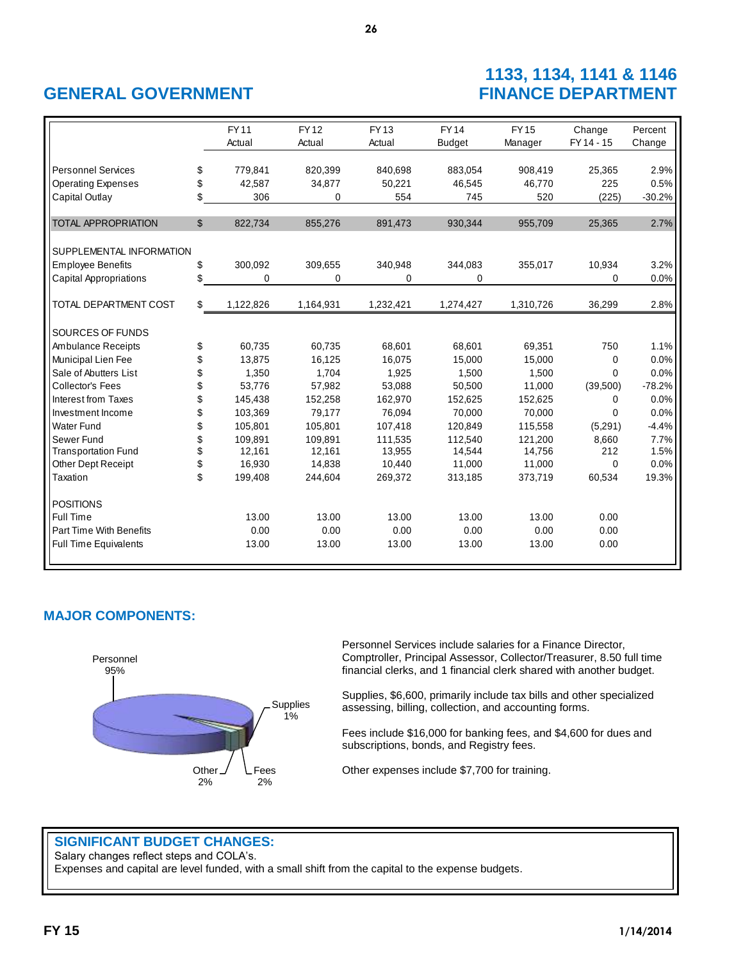## **1133, 1134, 1141 & 1146 GENERAL GOVERNMENT FINANCE DEPARTMENT**

|                               | <b>FY11</b>     | <b>FY12</b> | FY13      | <b>FY14</b>   | <b>FY15</b> | Change     | Percent  |
|-------------------------------|-----------------|-------------|-----------|---------------|-------------|------------|----------|
|                               | Actual          | Actual      | Actual    | <b>Budget</b> | Manager     | FY 14 - 15 | Change   |
|                               |                 |             |           |               |             |            |          |
| <b>Personnel Services</b>     | \$<br>779,841   | 820,399     | 840,698   | 883,054       | 908,419     | 25,365     | 2.9%     |
| <b>Operating Expenses</b>     | \$<br>42,587    | 34,877      | 50,221    | 46,545        | 46,770      | 225        | 0.5%     |
| Capital Outlay                | \$<br>306       | 0           | 554       | 745           | 520         | (225)      | $-30.2%$ |
|                               |                 |             |           |               |             |            |          |
| <b>TOTAL APPROPRIATION</b>    | \$<br>822,734   | 855,276     | 891,473   | 930,344       | 955,709     | 25,365     | 2.7%     |
|                               |                 |             |           |               |             |            |          |
| SUPPLEMENTAL INFORMATION      |                 |             |           |               |             |            |          |
| <b>Employee Benefits</b>      | \$<br>300,092   | 309,655     | 340,948   | 344,083       | 355,017     | 10,934     | 3.2%     |
| <b>Capital Appropriations</b> | \$<br>0         | $\mathbf 0$ | $\Omega$  | 0             |             | $\Omega$   | 0.0%     |
|                               |                 |             |           |               |             |            |          |
| TOTAL DEPARTMENT COST         | \$<br>1,122,826 | 1,164,931   | 1,232,421 | 1,274,427     | 1,310,726   | 36,299     | 2.8%     |
|                               |                 |             |           |               |             |            |          |
| SOURCES OF FUNDS              |                 |             |           |               |             |            |          |
| <b>Ambulance Receipts</b>     | \$<br>60.735    | 60.735      | 68.601    | 68.601        | 69,351      | 750        | 1.1%     |
| Municipal Lien Fee            | \$<br>13,875    | 16,125      | 16,075    | 15.000        | 15,000      | 0          | 0.0%     |
| Sale of Abutters List         | \$<br>1,350     | 1,704       | 1,925     | 1,500         | 1,500       | 0          | 0.0%     |
| Collector's Fees              | \$<br>53,776    | 57,982      | 53,088    | 50,500        | 11,000      | (39,500)   | $-78.2%$ |
| <b>Interest from Taxes</b>    | \$<br>145,438   | 152,258     | 162,970   | 152,625       | 152,625     | $\Omega$   | 0.0%     |
| Investment Income             | \$<br>103,369   | 79,177      | 76,094    | 70,000        | 70,000      | $\Omega$   | 0.0%     |
| <b>Water Fund</b>             | \$<br>105,801   | 105,801     | 107,418   | 120,849       | 115,558     | (5,291)    | $-4.4%$  |
| Sewer Fund                    | \$<br>109,891   | 109,891     | 111,535   | 112,540       | 121,200     | 8,660      | 7.7%     |
| <b>Transportation Fund</b>    | \$<br>12,161    | 12,161      | 13,955    | 14,544        | 14,756      | 212        | 1.5%     |
| Other Dept Receipt            | \$<br>16,930    | 14,838      | 10,440    | 11,000        | 11,000      | $\Omega$   | 0.0%     |
| Taxation                      | \$<br>199,408   | 244,604     | 269,372   | 313,185       | 373,719     | 60,534     | 19.3%    |
|                               |                 |             |           |               |             |            |          |
| <b>POSITIONS</b>              |                 |             |           |               |             |            |          |
| Full Time                     | 13.00           | 13.00       | 13.00     | 13.00         | 13.00       | 0.00       |          |
| Part Time With Benefits       | 0.00            | 0.00        | 0.00      | 0.00          | 0.00        | 0.00       |          |
| <b>Full Time Equivalents</b>  | 13.00           | 13.00       | 13.00     | 13.00         | 13.00       | 0.00       |          |
|                               |                 |             |           |               |             |            |          |

### **MAJOR COMPONENTS:**



Personnel Services include salaries for a Finance Director, Comptroller, Principal Assessor, Collector/Treasurer, 8.50 full time financial clerks, and 1 financial clerk shared with another budget.

Supplies, \$6,600, primarily include tax bills and other specialized assessing, billing, collection, and accounting forms.

Fees include \$16,000 for banking fees, and \$4,600 for dues and subscriptions, bonds, and Registry fees.

Other expenses include \$7,700 for training.

### **SIGNIFICANT BUDGET CHANGES:**

Salary changes reflect steps and COLA's.

Expenses and capital are level funded, with a small shift from the capital to the expense budgets.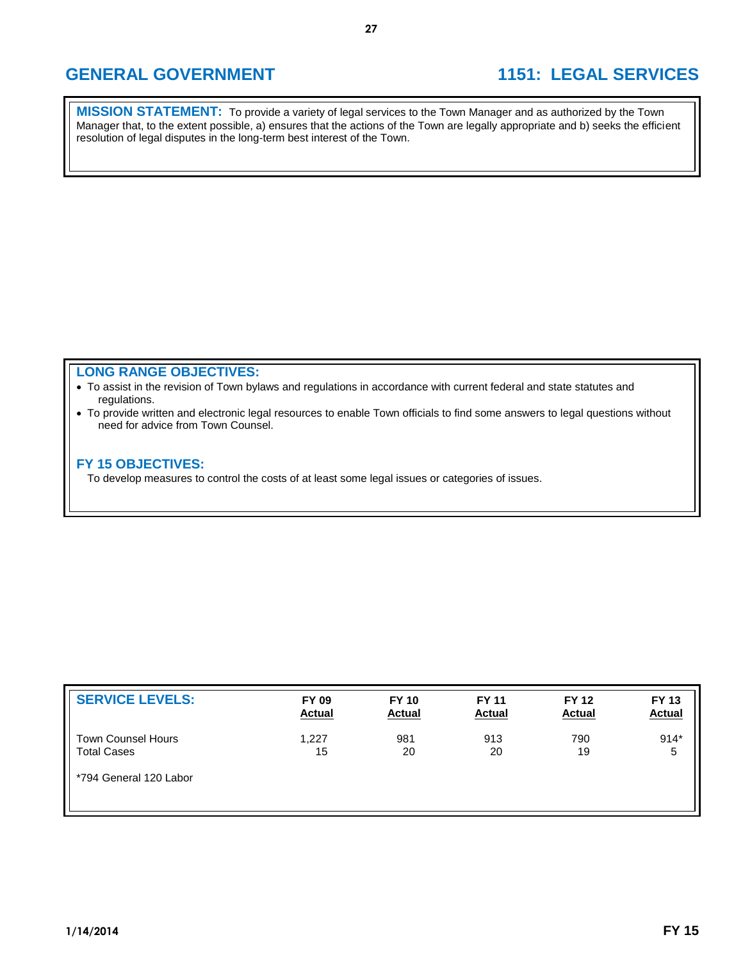# **GENERAL GOVERNMENT 1151: LEGAL SERVICES**

**MISSION STATEMENT:** To provide a variety of legal services to the Town Manager and as authorized by the Town Manager that, to the extent possible, a) ensures that the actions of the Town are legally appropriate and b) seeks the efficient resolution of legal disputes in the long-term best interest of the Town.

### **LONG RANGE OBJECTIVES:**

- To assist in the revision of Town bylaws and regulations in accordance with current federal and state statutes and regulations.
- To provide written and electronic legal resources to enable Town officials to find some answers to legal questions without need for advice from Town Counsel.

### **FY 15 OBJECTIVES:**

To develop measures to control the costs of at least some legal issues or categories of issues.

| <b>SERVICE LEVELS:</b>                                                    | <b>FY 09</b>  | <b>FY 10</b>  | <b>FY 11</b>  | <b>FY 12</b>  | <b>FY 13</b>  |
|---------------------------------------------------------------------------|---------------|---------------|---------------|---------------|---------------|
|                                                                           | <b>Actual</b> | <b>Actual</b> | <b>Actual</b> | <b>Actual</b> | <b>Actual</b> |
| <b>Town Counsel Hours</b><br><b>Total Cases</b><br>*794 General 120 Labor | 1,227<br>15   | 981<br>20     | 913<br>20     | 790<br>19     | $914*$<br>5   |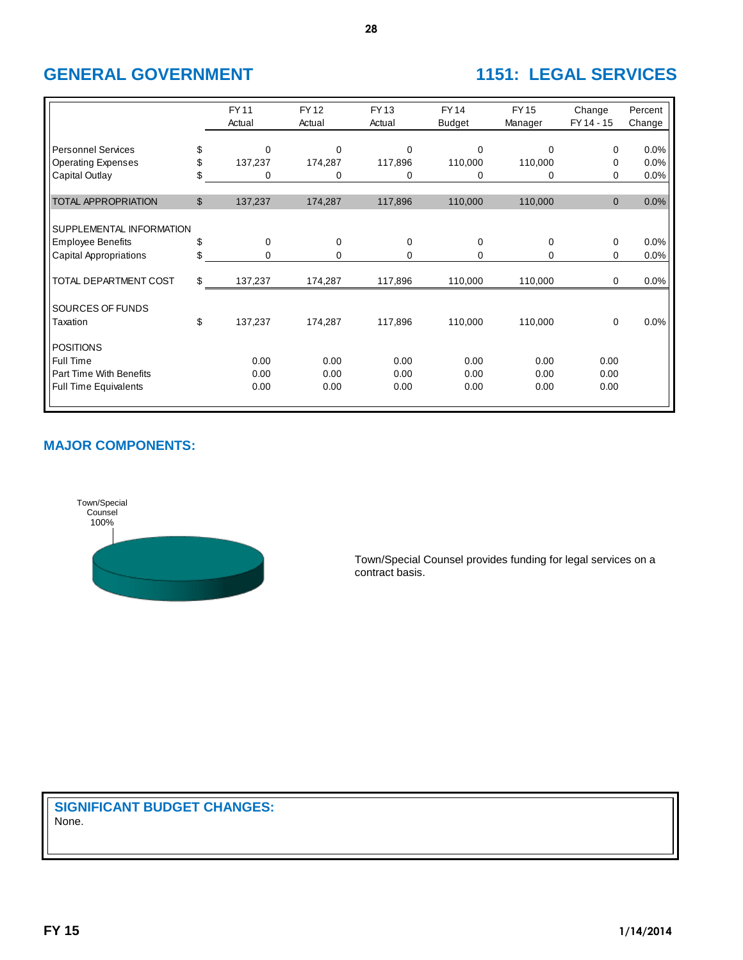# **GENERAL GOVERNMENT 1151: LEGAL SERVICES**

|                               |                | <b>FY11</b><br>Actual | <b>FY12</b><br>Actual | FY 13<br>Actual | <b>FY14</b><br><b>Budget</b> | <b>FY15</b><br>Manager | Change<br>FY 14 - 15 | Percent<br>Change |
|-------------------------------|----------------|-----------------------|-----------------------|-----------------|------------------------------|------------------------|----------------------|-------------------|
| <b>Personnel Services</b>     | \$             | 0                     | $\Omega$              | $\Omega$        | 0                            | 0                      | 0                    | 0.0%              |
| <b>Operating Expenses</b>     | \$             | 137,237               | 174,287               | 117,896         | 110,000                      | 110,000                | 0                    | 0.0%              |
| Capital Outlay                |                | 0                     | 0                     | 0               | 0                            | 0                      | 0                    | 0.0%              |
|                               |                |                       |                       |                 |                              |                        |                      |                   |
| <b>TOTAL APPROPRIATION</b>    | $\mathfrak{s}$ | 137,237               | 174,287               | 117,896         | 110,000                      | 110,000                | $\overline{0}$       | 0.0%              |
| SUPPLEMENTAL INFORMATION      |                |                       |                       |                 |                              |                        |                      |                   |
| <b>Employee Benefits</b>      | \$             | 0                     | 0                     | $\Omega$        | 0                            | 0                      | 0                    | 0.0%              |
| <b>Capital Appropriations</b> | \$             | 0                     | 0                     | 0               | 0                            | 0                      | 0                    | 0.0%              |
| TOTAL DEPARTMENT COST         | \$             | 137,237               | 174,287               | 117,896         | 110,000                      | 110,000                | $\mathbf 0$          | 0.0%              |
| SOURCES OF FUNDS              |                |                       |                       |                 |                              |                        |                      |                   |
| Taxation                      | \$             | 137,237               | 174,287               | 117,896         | 110,000                      | 110,000                | $\mathbf 0$          | 0.0%              |
| <b>POSITIONS</b>              |                |                       |                       |                 |                              |                        |                      |                   |
| Full Time                     |                | 0.00                  | 0.00                  | 0.00            | 0.00                         | 0.00                   | 0.00                 |                   |
| Part Time With Benefits       |                | 0.00                  | 0.00                  | 0.00            | 0.00                         | 0.00                   | 0.00                 |                   |
| <b>Full Time Equivalents</b>  |                | 0.00                  | 0.00                  | 0.00            | 0.00                         | 0.00                   | 0.00                 |                   |
|                               |                |                       |                       |                 |                              |                        |                      |                   |

**28**

### **MAJOR COMPONENTS:**



Town/Special Counsel provides funding for legal services on a contract basis.

**SIGNIFICANT BUDGET CHANGES:** None.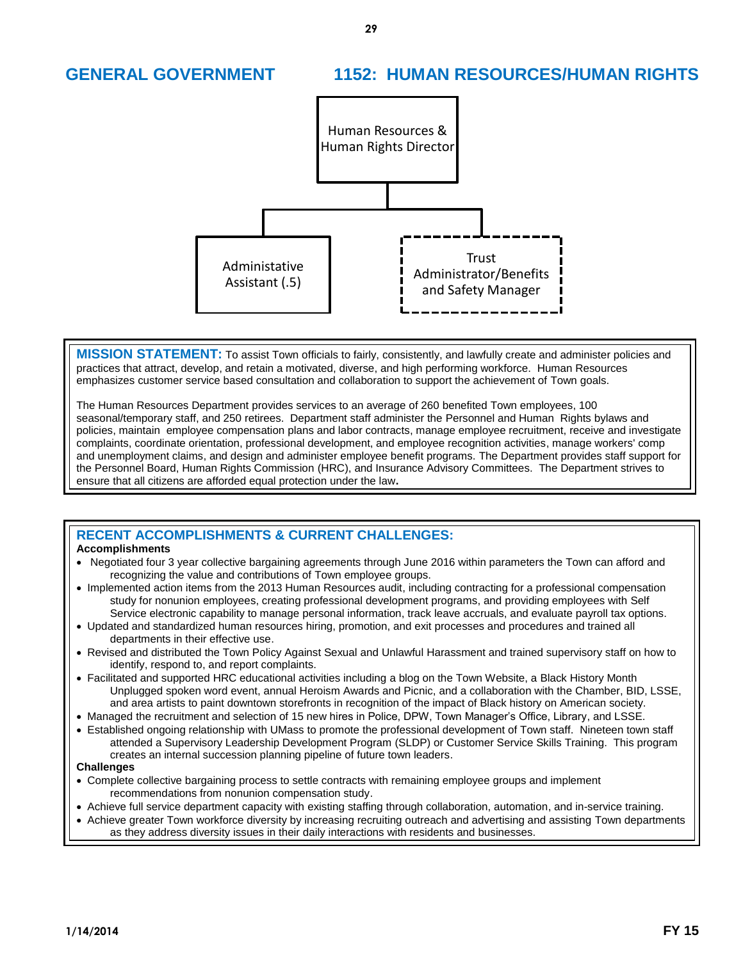## **GENERAL GOVERNMENT 1152: HUMAN RESOURCES/HUMAN RIGHTS**



**MISSION STATEMENT:** To assist Town officials to fairly, consistently, and lawfully create and administer policies and practices that attract, develop, and retain a motivated, diverse, and high performing workforce. Human Resources emphasizes customer service based consultation and collaboration to support the achievement of Town goals.

The Human Resources Department provides services to an average of 260 benefited Town employees, 100 seasonal/temporary staff, and 250 retirees. Department staff administer the Personnel and Human Rights bylaws and policies, maintain employee compensation plans and labor contracts, manage employee recruitment, receive and investigate complaints, coordinate orientation, professional development, and employee recognition activities, manage workers' comp and unemployment claims, and design and administer employee benefit programs. The Department provides staff support for the Personnel Board, Human Rights Commission (HRC), and Insurance Advisory Committees. The Department strives to ensure that all citizens are afforded equal protection under the law**.**

### **RECENT ACCOMPLISHMENTS & CURRENT CHALLENGES:**

### **Accomplishments**

- Negotiated four 3 year collective bargaining agreements through June 2016 within parameters the Town can afford and recognizing the value and contributions of Town employee groups.
- Implemented action items from the 2013 Human Resources audit, including contracting for a professional compensation study for nonunion employees, creating professional development programs, and providing employees with Self Service electronic capability to manage personal information, track leave accruals, and evaluate payroll tax options.
- Updated and standardized human resources hiring, promotion, and exit processes and procedures and trained all departments in their effective use.
- Revised and distributed the Town Policy Against Sexual and Unlawful Harassment and trained supervisory staff on how to identify, respond to, and report complaints.
- Facilitated and supported HRC educational activities including a blog on the Town Website, a Black History Month Unplugged spoken word event, annual Heroism Awards and Picnic, and a collaboration with the Chamber, BID, LSSE, and area artists to paint downtown storefronts in recognition of the impact of Black history on American society.
- Managed the recruitment and selection of 15 new hires in Police, DPW, Town Manager's Office, Library, and LSSE.
- Established ongoing relationship with UMass to promote the professional development of Town staff. Nineteen town staff attended a Supervisory Leadership Development Program (SLDP) or Customer Service Skills Training. This program creates an internal succession planning pipeline of future town leaders.

### **Challenges**

- Complete collective bargaining process to settle contracts with remaining employee groups and implement recommendations from nonunion compensation study.
- Achieve full service department capacity with existing staffing through collaboration, automation, and in-service training.
- Achieve greater Town workforce diversity by increasing recruiting outreach and advertising and assisting Town departments as they address diversity issues in their daily interactions with residents and businesses.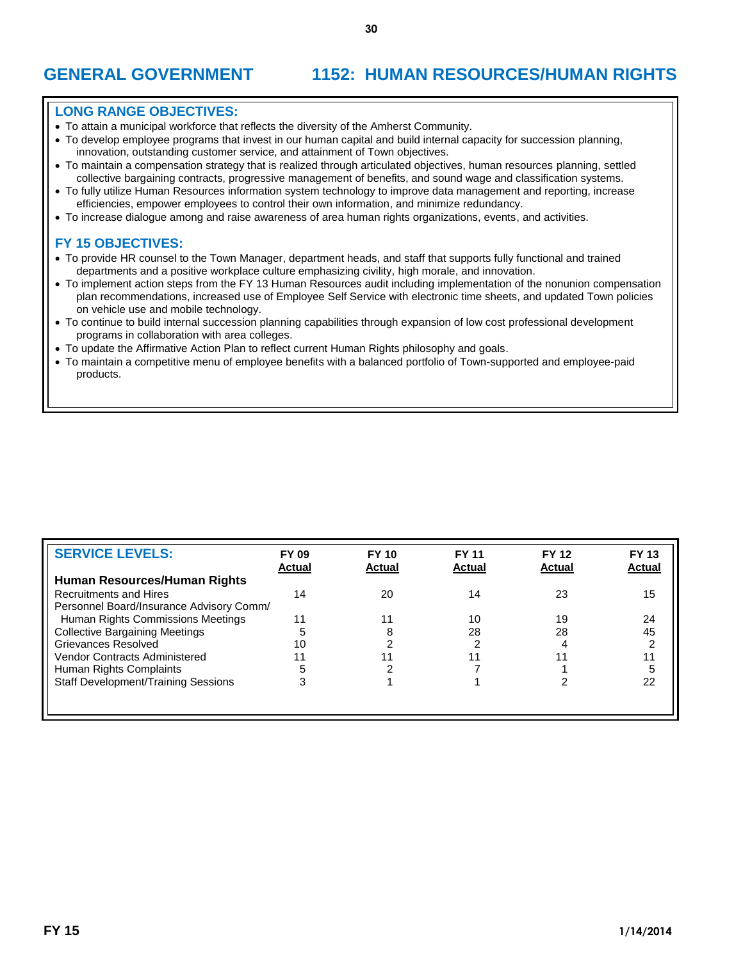# **GENERAL GOVERNMENT 1152: HUMAN RESOURCES/HUMAN RIGHTS**

### **LONG RANGE OBJECTIVES:**

- To attain a municipal workforce that reflects the diversity of the Amherst Community.
- To develop employee programs that invest in our human capital and build internal capacity for succession planning, innovation, outstanding customer service, and attainment of Town objectives.
- To maintain a compensation strategy that is realized through articulated objectives, human resources planning, settled collective bargaining contracts, progressive management of benefits, and sound wage and classification systems.
- To fully utilize Human Resources information system technology to improve data management and reporting, increase efficiencies, empower employees to control their own information, and minimize redundancy.
- To increase dialogue among and raise awareness of area human rights organizations, events, and activities.

- To provide HR counsel to the Town Manager, department heads, and staff that supports fully functional and trained departments and a positive workplace culture emphasizing civility, high morale, and innovation.
- To implement action steps from the FY 13 Human Resources audit including implementation of the nonunion compensation plan recommendations, increased use of Employee Self Service with electronic time sheets, and updated Town policies on vehicle use and mobile technology.
- To continue to build internal succession planning capabilities through expansion of low cost professional development programs in collaboration with area colleges.
- To update the Affirmative Action Plan to reflect current Human Rights philosophy and goals.
- To maintain a competitive menu of employee benefits with a balanced portfolio of Town-supported and employee-paid products.

| <b>SERVICE LEVELS:</b>                     | <b>FY 09</b><br><b>Actual</b> | <b>FY 10</b><br><b>Actual</b> | <b>FY 11</b><br><b>Actual</b> | <b>FY 12</b><br><b>Actual</b> | <b>FY 13</b><br><b>Actual</b> |
|--------------------------------------------|-------------------------------|-------------------------------|-------------------------------|-------------------------------|-------------------------------|
| <b>Human Resources/Human Rights</b>        |                               |                               |                               |                               |                               |
| <b>Recruitments and Hires</b>              | 14                            | 20                            | 14                            | 23                            | 15                            |
| Personnel Board/Insurance Advisory Comm/   |                               |                               |                               |                               |                               |
| Human Rights Commissions Meetings          |                               | 11                            | 10                            | 19                            | 24                            |
| <b>Collective Bargaining Meetings</b>      | 5                             | 8                             | 28                            | 28                            | 45                            |
| Grievances Resolved                        | 10                            | ⌒                             |                               | 4                             | 2                             |
| Vendor Contracts Administered              |                               |                               |                               |                               | 11                            |
| Human Rights Complaints                    | 5                             | ⌒                             |                               |                               | 5                             |
| <b>Staff Development/Training Sessions</b> | 3                             |                               |                               |                               | 22                            |
|                                            |                               |                               |                               |                               |                               |
|                                            |                               |                               |                               |                               |                               |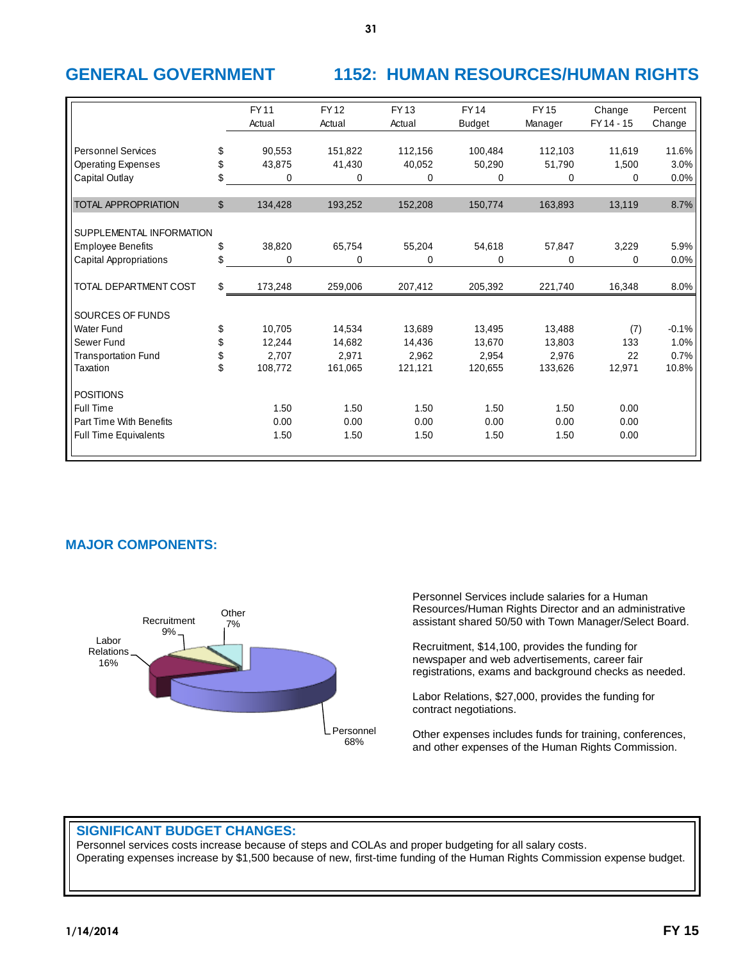# **GENERAL GOVERNMENT 1152: HUMAN RESOURCES/HUMAN RIGHTS**

|                            |              | <b>FY11</b><br>Actual | <b>FY12</b><br>Actual | FY13<br>Actual | <b>FY14</b><br>Budget | <b>FY15</b><br>Manager | Change<br>FY 14 - 15 | Percent<br>Change |
|----------------------------|--------------|-----------------------|-----------------------|----------------|-----------------------|------------------------|----------------------|-------------------|
| <b>Personnel Services</b>  | \$           | 90,553                | 151,822               | 112,156        | 100,484               | 112.103                | 11,619               | 11.6%             |
| <b>Operating Expenses</b>  | \$           | 43,875                | 41,430                | 40,052         | 50,290                | 51,790                 | 1,500                | 3.0%              |
| Capital Outlay             | \$           | 0                     | $\mathbf 0$           | 0              | 0                     | 0                      | $\Omega$             | 0.0%              |
|                            |              |                       |                       |                |                       |                        |                      |                   |
| <b>TOTAL APPROPRIATION</b> | $\mathbb{S}$ | 134,428               | 193,252               | 152,208        | 150,774               | 163,893                | 13,119               | 8.7%              |
| SUPPLEMENTAL INFORMATION   |              |                       |                       |                |                       |                        |                      |                   |
| <b>Employee Benefits</b>   | \$           | 38,820                | 65,754                | 55,204         | 54,618                | 57,847                 | 3,229                | 5.9%              |
| Capital Appropriations     | \$           | 0                     | 0                     | 0              | 0                     | 0                      | 0                    | 0.0%              |
| TOTAL DEPARTMENT COST      | \$           | 173,248               | 259,006               | 207,412        | 205,392               | 221,740                | 16,348               | 8.0%              |
| SOURCES OF FUNDS           |              |                       |                       |                |                       |                        |                      |                   |
| <b>Water Fund</b>          | \$           | 10,705                | 14,534                | 13,689         | 13,495                | 13,488                 | (7)                  | $-0.1%$           |
| Sewer Fund                 | \$           | 12,244                | 14.682                | 14.436         | 13,670                | 13.803                 | 133                  | 1.0%              |
| <b>Transportation Fund</b> | \$           | 2,707                 | 2,971                 | 2,962          | 2,954                 | 2,976                  | 22                   | 0.7%              |
| Taxation                   | \$           | 108,772               | 161,065               | 121,121        | 120,655               | 133,626                | 12,971               | 10.8%             |
| <b>POSITIONS</b>           |              |                       |                       |                |                       |                        |                      |                   |
| Full Time                  |              | 1.50                  | 1.50                  | 1.50           | 1.50                  | 1.50                   | 0.00                 |                   |
| Part Time With Benefits    |              | 0.00                  | 0.00                  | 0.00           | 0.00                  | 0.00                   | 0.00                 |                   |
| Full Time Equivalents      |              | 1.50                  | 1.50                  | 1.50           | 1.50                  | 1.50                   | 0.00                 |                   |
|                            |              |                       |                       |                |                       |                        |                      |                   |

### **MAJOR COMPONENTS:**



Personnel Services include salaries for a Human Resources/Human Rights Director and an administrative assistant shared 50/50 with Town Manager/Select Board.

Recruitment, \$14,100, provides the funding for newspaper and web advertisements, career fair registrations, exams and background checks as needed.

Labor Relations, \$27,000, provides the funding for contract negotiations.

Other expenses includes funds for training, conferences, and other expenses of the Human Rights Commission.

### **SIGNIFICANT BUDGET CHANGES:**

Personnel services costs increase because of steps and COLAs and proper budgeting for all salary costs. Operating expenses increase by \$1,500 because of new, first-time funding of the Human Rights Commission expense budget.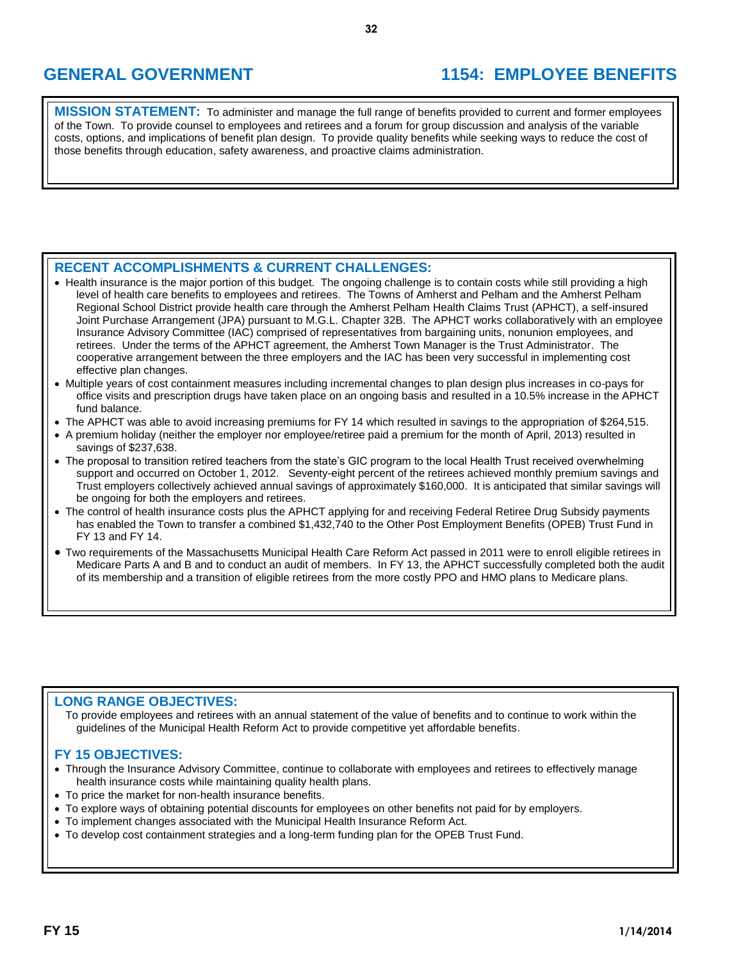# **GENERAL GOVERNMENT 1154: EMPLOYEE BENEFITS**

**MISSION STATEMENT:** To administer and manage the full range of benefits provided to current and former employees of the Town. To provide counsel to employees and retirees and a forum for group discussion and analysis of the variable costs, options, and implications of benefit plan design. To provide quality benefits while seeking ways to reduce the cost of those benefits through education, safety awareness, and proactive claims administration.

### **RECENT ACCOMPLISHMENTS & CURRENT CHALLENGES:**

- Health insurance is the major portion of this budget. The ongoing challenge is to contain costs while still providing a high level of health care benefits to employees and retirees. The Towns of Amherst and Pelham and the Amherst Pelham Regional School District provide health care through the Amherst Pelham Health Claims Trust (APHCT), a self-insured Joint Purchase Arrangement (JPA) pursuant to M.G.L. Chapter 32B. The APHCT works collaboratively with an employee Insurance Advisory Committee (IAC) comprised of representatives from bargaining units, nonunion employees, and retirees. Under the terms of the APHCT agreement, the Amherst Town Manager is the Trust Administrator. The cooperative arrangement between the three employers and the IAC has been very successful in implementing cost effective plan changes.
- Multiple years of cost containment measures including incremental changes to plan design plus increases in co-pays for office visits and prescription drugs have taken place on an ongoing basis and resulted in a 10.5% increase in the APHCT fund balance.
- The APHCT was able to avoid increasing premiums for FY 14 which resulted in savings to the appropriation of \$264,515.
- A premium holiday (neither the employer nor employee/retiree paid a premium for the month of April, 2013) resulted in savings of \$237,638.
- The proposal to transition retired teachers from the state's GIC program to the local Health Trust received overwhelming support and occurred on October 1, 2012. Seventy-eight percent of the retirees achieved monthly premium savings and Trust employers collectively achieved annual savings of approximately \$160,000. It is anticipated that similar savings will be ongoing for both the employers and retirees.
- The control of health insurance costs plus the APHCT applying for and receiving Federal Retiree Drug Subsidy payments has enabled the Town to transfer a combined \$1,432,740 to the Other Post Employment Benefits (OPEB) Trust Fund in FY 13 and FY 14.
- Two requirements of the Massachusetts Municipal Health Care Reform Act passed in 2011 were to enroll eligible retirees in Medicare Parts A and B and to conduct an audit of members. In FY 13, the APHCT successfully completed both the audit of its membership and a transition of eligible retirees from the more costly PPO and HMO plans to Medicare plans.

### **LONG RANGE OBJECTIVES:**

To provide employees and retirees with an annual statement of the value of benefits and to continue to work within the guidelines of the Municipal Health Reform Act to provide competitive yet affordable benefits.

- Through the Insurance Advisory Committee, continue to collaborate with employees and retirees to effectively manage health insurance costs while maintaining quality health plans.
- To price the market for non-health insurance benefits.
- To explore ways of obtaining potential discounts for employees on other benefits not paid for by employers.
- To implement changes associated with the Municipal Health Insurance Reform Act.
- To develop cost containment strategies and a long-term funding plan for the OPEB Trust Fund.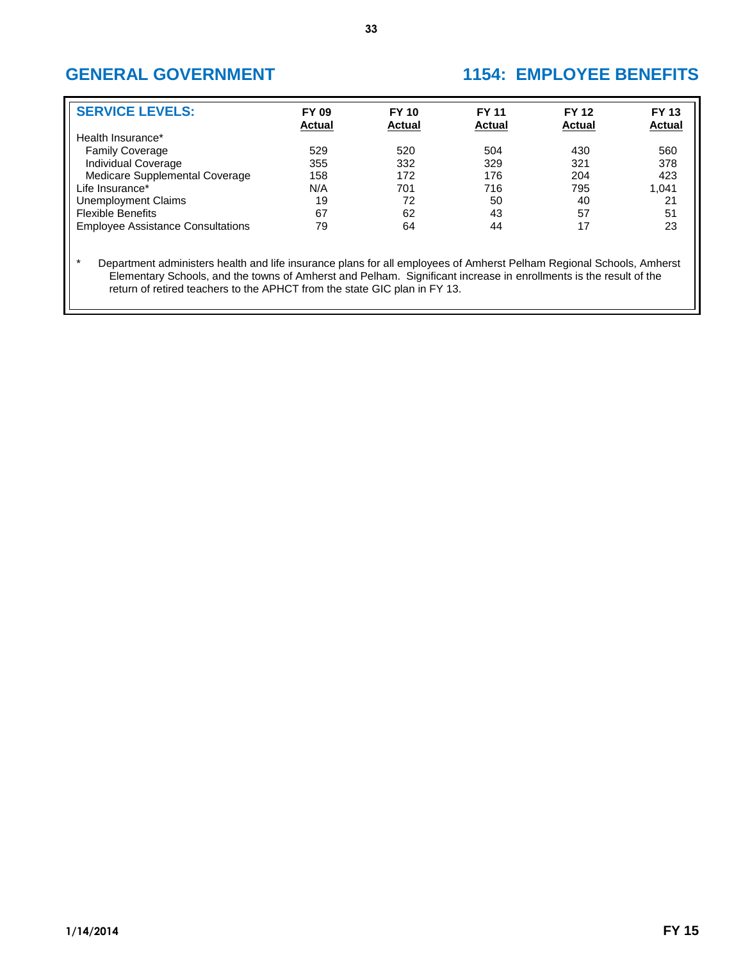# **GENERAL GOVERNMENT 1154: EMPLOYEE BENEFITS**

| <b>SERVICE LEVELS:</b>                   | FY 09<br><b>Actual</b> | <b>FY 10</b><br><b>Actual</b> | <b>FY 11</b><br><b>Actual</b> | <b>FY 12</b><br><b>Actual</b> | <b>FY 13</b><br><b>Actual</b> |
|------------------------------------------|------------------------|-------------------------------|-------------------------------|-------------------------------|-------------------------------|
| Health Insurance*                        |                        |                               |                               |                               |                               |
| <b>Family Coverage</b>                   | 529                    | 520                           | 504                           | 430                           | 560                           |
| <b>Individual Coverage</b>               | 355                    | 332                           | 329                           | 321                           | 378                           |
| Medicare Supplemental Coverage           | 158                    | 172                           | 176                           | 204                           | 423                           |
| Life Insurance*                          | N/A                    | 701                           | 716                           | 795                           | 1.041                         |
| Unemployment Claims                      | 19                     | 72                            | 50                            | 40                            | 21                            |
| <b>Flexible Benefits</b>                 | 67                     | 62                            | 43                            | 57                            | 51                            |
| <b>Employee Assistance Consultations</b> | 79                     | 64                            | 44                            | 17                            | 23                            |

\* Department administers health and life insurance plans for all employees of Amherst Pelham Regional Schools, Amherst Elementary Schools, and the towns of Amherst and Pelham. Significant increase in enrollments is the result of the return of retired teachers to the APHCT from the state GIC plan in FY 13.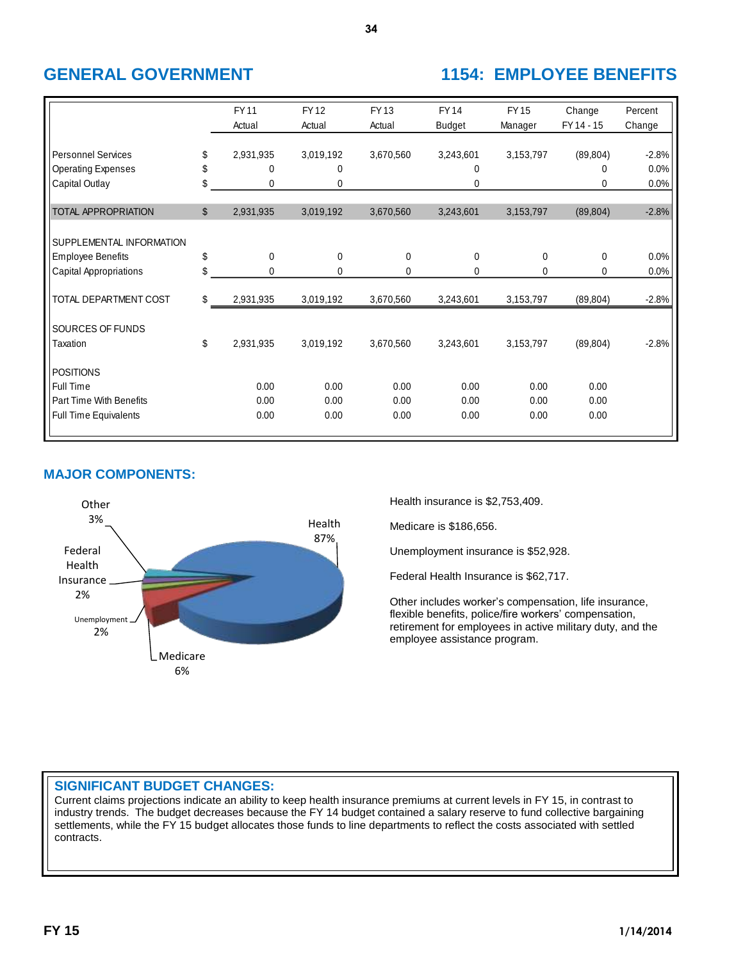# **GENERAL GOVERNMENT 1154: EMPLOYEE BENEFITS**

|                                | <b>FY11</b>       | <b>FY12</b> | <b>FY13</b> | <b>FY14</b>   | <b>FY15</b> | Change      | Percent |
|--------------------------------|-------------------|-------------|-------------|---------------|-------------|-------------|---------|
|                                | Actual            | Actual      | Actual      | <b>Budget</b> | Manager     | FY 14 - 15  | Change  |
| <b>Personnel Services</b>      | \$<br>2,931,935   | 3,019,192   | 3,670,560   | 3,243,601     | 3,153,797   | (89, 804)   | $-2.8%$ |
| <b>Operating Expenses</b>      | \$<br>0           | 0           |             | 0             |             | 0           | 0.0%    |
| Capital Outlay                 | \$<br>0           | 0           |             | 0             |             | 0           | 0.0%    |
|                                |                   |             |             |               |             |             |         |
| <b>TOTAL APPROPRIATION</b>     | \$<br>2,931,935   | 3,019,192   | 3,670,560   | 3,243,601     | 3,153,797   | (89, 804)   | $-2.8%$ |
|                                |                   |             |             |               |             |             |         |
| SUPPLEMENTAL INFORMATION       |                   |             |             |               |             |             |         |
| <b>Employee Benefits</b>       | \$<br>$\Omega$    | $\Omega$    | $\Omega$    | $\mathbf{0}$  | $\Omega$    | $\pmb{0}$   | 0.0%    |
| Capital Appropriations         | \$<br>$\mathbf 0$ | 0           | 0           | 0             | 0           | $\mathbf 0$ | 0.0%    |
|                                |                   |             |             |               |             |             |         |
| TOTAL DEPARTMENT COST          | \$<br>2,931,935   | 3,019,192   | 3,670,560   | 3,243,601     | 3,153,797   | (89, 804)   | $-2.8%$ |
|                                |                   |             |             |               |             |             |         |
| SOURCES OF FUNDS               |                   |             |             |               |             |             |         |
| Taxation                       | \$<br>2,931,935   | 3,019,192   | 3,670,560   | 3,243,601     | 3,153,797   | (89, 804)   | $-2.8%$ |
|                                |                   |             |             |               |             |             |         |
| <b>POSITIONS</b>               |                   |             |             |               |             |             |         |
| Full Time                      | 0.00              | 0.00        | 0.00        | 0.00          | 0.00        | 0.00        |         |
| <b>Part Time With Benefits</b> | 0.00              | 0.00        | 0.00        | 0.00          | 0.00        | 0.00        |         |
| <b>Full Time Equivalents</b>   | 0.00              | 0.00        | 0.00        | 0.00          | 0.00        | 0.00        |         |
|                                |                   |             |             |               |             |             |         |

### **MAJOR COMPONENTS:**



Health insurance is \$2,753,409.

Medicare is \$186,656.

Unemployment insurance is \$52,928.

Federal Health Insurance is \$62,717.

Other includes worker's compensation, life insurance, flexible benefits, police/fire workers' compensation, retirement for employees in active military duty, and the employee assistance program.

### **SIGNIFICANT BUDGET CHANGES:**

Current claims projections indicate an ability to keep health insurance premiums at current levels in FY 15, in contrast to industry trends. The budget decreases because the FY 14 budget contained a salary reserve to fund collective bargaining settlements, while the FY 15 budget allocates those funds to line departments to reflect the costs associated with settled contracts.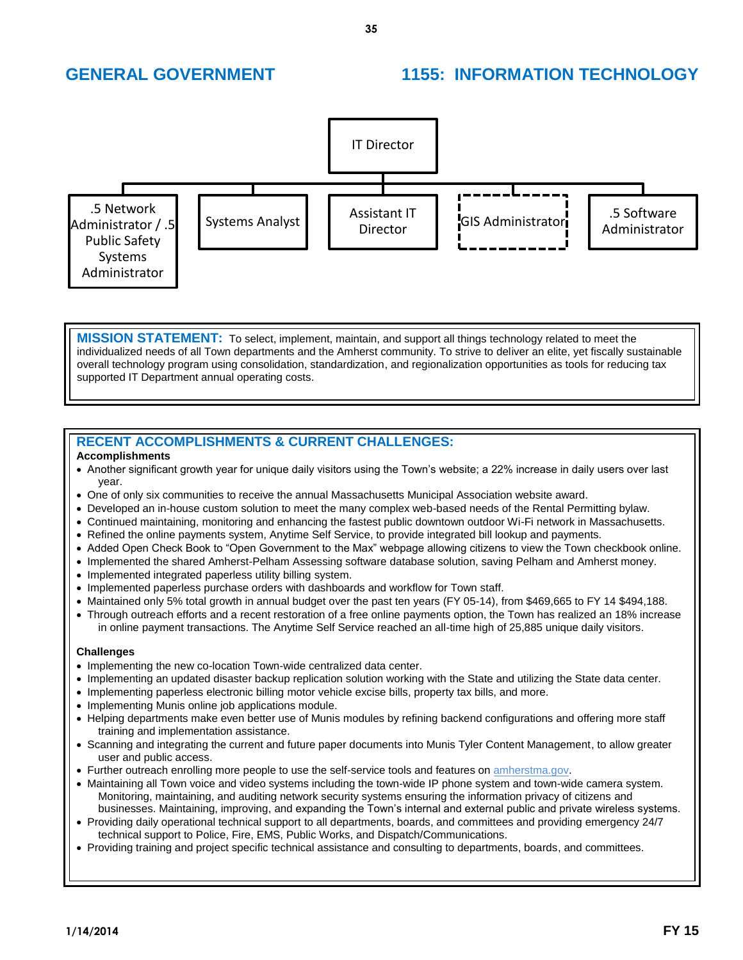# **GENERAL GOVERNMENT 1155: INFORMATION TECHNOLOGY**



**MISSION STATEMENT:** To select, implement, maintain, and support all things technology related to meet the individualized needs of all Town departments and the Amherst community. To strive to deliver an elite, yet fiscally sustainable overall technology program using consolidation, standardization, and regionalization opportunities as tools for reducing tax supported IT Department annual operating costs.

### **RECENT ACCOMPLISHMENTS & CURRENT CHALLENGES:**

### **Accomplishments**

- Another significant growth year for unique daily visitors using the Town's website; a 22% increase in daily users over last year.
- One of only six communities to receive the annual Massachusetts Municipal Association website award.
- Developed an in-house custom solution to meet the many complex web-based needs of the Rental Permitting bylaw.
- Continued maintaining, monitoring and enhancing the fastest public downtown outdoor Wi-Fi network in Massachusetts.
- Refined the online payments system, Anytime Self Service, to provide integrated bill lookup and payments.
- Added Open Check Book to "Open Government to the Max" webpage allowing citizens to view the Town checkbook online.
- Implemented the shared Amherst-Pelham Assessing software database solution, saving Pelham and Amherst money.
- Implemented integrated paperless utility billing system.
- Implemented paperless purchase orders with dashboards and workflow for Town staff.
- Maintained only 5% total growth in annual budget over the past ten years (FY 05-14), from \$469,665 to FY 14 \$494,188.
- Through outreach efforts and a recent restoration of a free online payments option, the Town has realized an 18% increase in online payment transactions. The Anytime Self Service reached an all-time high of 25,885 unique daily visitors.

### **Challenges**

- Implementing the new co-location Town-wide centralized data center.
- Implementing an updated disaster backup replication solution working with the State and utilizing the State data center.
- Implementing paperless electronic billing motor vehicle excise bills, property tax bills, and more.
- Implementing Munis online job applications module.
- Helping departments make even better use of Munis modules by refining backend configurations and offering more staff training and implementation assistance.
- Scanning and integrating the current and future paper documents into Munis Tyler Content Management, to allow greater user and public access.
- Further outreach enrolling more people to use the self-service tools and features on amherstma.gov.
- Maintaining all Town voice and video systems including the town-wide IP phone system and town-wide camera system. Monitoring, maintaining, and auditing network security systems ensuring the information privacy of citizens and businesses. Maintaining, improving, and expanding the Town's internal and external public and private wireless systems.
- Providing daily operational technical support to all departments, boards, and committees and providing emergency 24/7 technical support to Police, Fire, EMS, Public Works, and Dispatch/Communications.
- Providing training and project specific technical assistance and consulting to departments, boards, and committees.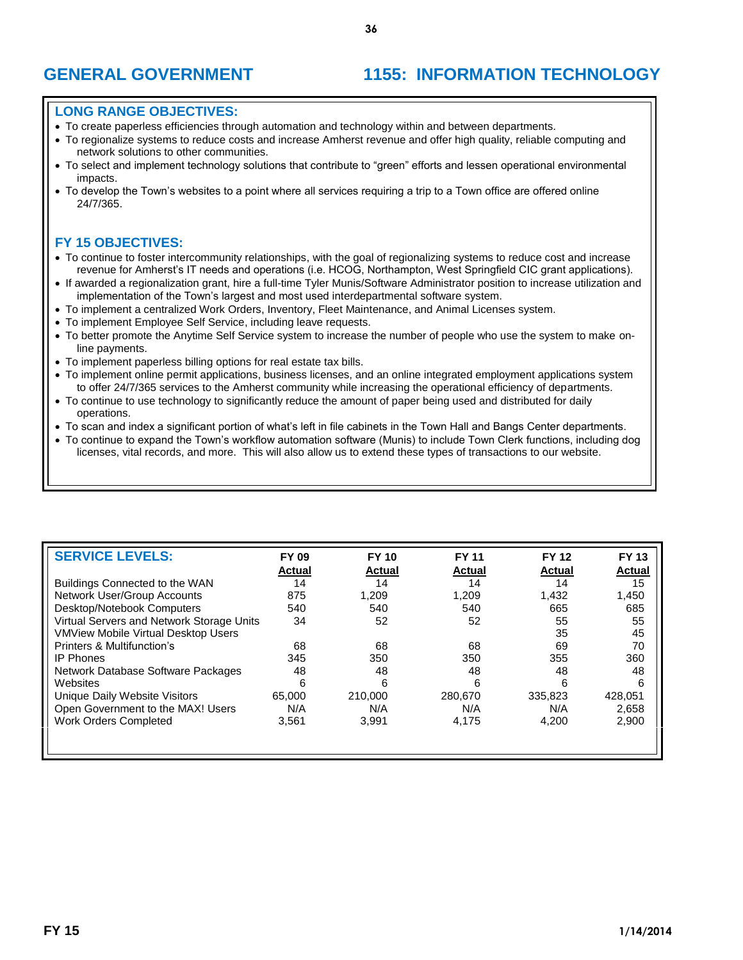# **GENERAL GOVERNMENT 1155: INFORMATION TECHNOLOGY**

### **LONG RANGE OBJECTIVES:**

- To create paperless efficiencies through automation and technology within and between departments.
- To regionalize systems to reduce costs and increase Amherst revenue and offer high quality, reliable computing and network solutions to other communities.
- To select and implement technology solutions that contribute to "green" efforts and lessen operational environmental impacts.
- To develop the Town's websites to a point where all services requiring a trip to a Town office are offered online 24/7/365.

- To continue to foster intercommunity relationships, with the goal of regionalizing systems to reduce cost and increase revenue for Amherst's IT needs and operations (i.e. HCOG, Northampton, West Springfield CIC grant applications).
- If awarded a regionalization grant, hire a full-time Tyler Munis/Software Administrator position to increase utilization and implementation of the Town's largest and most used interdepartmental software system.
- To implement a centralized Work Orders, Inventory, Fleet Maintenance, and Animal Licenses system.
- To implement Employee Self Service, including leave requests.
- To better promote the Anytime Self Service system to increase the number of people who use the system to make online payments.
- To implement paperless billing options for real estate tax bills.
- To implement online permit applications, business licenses, and an online integrated employment applications system to offer 24/7/365 services to the Amherst community while increasing the operational efficiency of departments.
- To continue to use technology to significantly reduce the amount of paper being used and distributed for daily operations.
- To scan and index a significant portion of what's left in file cabinets in the Town Hall and Bangs Center departments.
- To continue to expand the Town's workflow automation software (Munis) to include Town Clerk functions, including dog licenses, vital records, and more. This will also allow us to extend these types of transactions to our website.

| <b>SERVICE LEVELS:</b>                     | <b>FY 09</b><br><b>Actual</b> | <b>FY 10</b><br><b>Actual</b> | <b>FY 11</b><br><b>Actual</b> | <b>FY 12</b><br><b>Actual</b> | <b>FY 13</b><br>Actual |
|--------------------------------------------|-------------------------------|-------------------------------|-------------------------------|-------------------------------|------------------------|
| Buildings Connected to the WAN             | 14                            | 14                            | 14                            | 14                            | 15                     |
| Network User/Group Accounts                | 875                           | 1,209                         | 1,209                         | 1,432                         | 1,450                  |
| Desktop/Notebook Computers                 | 540                           | 540                           | 540                           | 665                           | 685                    |
| Virtual Servers and Network Storage Units  | 34                            | 52                            | 52                            | 55                            | 55                     |
| <b>VMView Mobile Virtual Desktop Users</b> |                               |                               |                               | 35                            | 45                     |
| <b>Printers &amp; Multifunction's</b>      | 68                            | 68                            | 68                            | 69                            | 70                     |
| IP Phones                                  | 345                           | 350                           | 350                           | 355                           | 360                    |
| Network Database Software Packages         | 48                            | 48                            | 48                            | 48                            | 48                     |
| Websites                                   | 6                             | 6                             | 6                             | 6                             | 6                      |
| Unique Daily Website Visitors              | 65,000                        | 210.000                       | 280.670                       | 335.823                       | 428.051                |
| Open Government to the MAX! Users          | N/A                           | N/A                           | N/A                           | N/A                           | 2,658                  |
| <b>Work Orders Completed</b>               | 3.561                         | 3.991                         | 4,175                         | 4.200                         | 2,900                  |
|                                            |                               |                               |                               |                               |                        |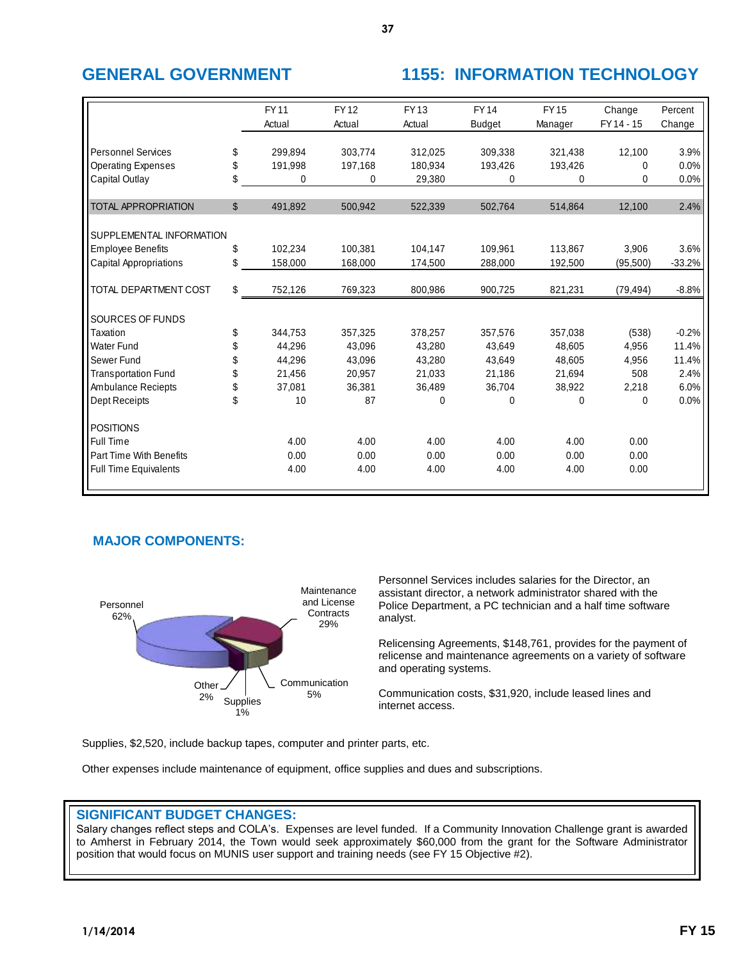# **GENERAL GOVERNMENT 1155: INFORMATION TECHNOLOGY**

|                                |    | <b>FY11</b> | <b>FY12</b> | <b>FY13</b> | <b>FY14</b>   | <b>FY15</b> | Change     | Percent  |
|--------------------------------|----|-------------|-------------|-------------|---------------|-------------|------------|----------|
|                                |    | Actual      | Actual      | Actual      | <b>Budget</b> | Manager     | FY 14 - 15 | Change   |
|                                |    |             |             |             |               |             |            |          |
| <b>Personnel Services</b>      | S  | 299.894     | 303.774     | 312,025     | 309,338       | 321,438     | 12,100     | 3.9%     |
| <b>Operating Expenses</b>      | \$ | 191,998     | 197,168     | 180,934     | 193,426       | 193,426     | 0          | 0.0%     |
| Capital Outlay                 |    | 0           | 0           | 29,380      | 0             | 0           | 0          | 0.0%     |
|                                |    |             |             |             |               |             |            |          |
| <b>TOTAL APPROPRIATION</b>     | \$ | 491,892     | 500,942     | 522,339     | 502,764       | 514,864     | 12,100     | 2.4%     |
|                                |    |             |             |             |               |             |            |          |
| SUPPLEMENTAL INFORMATION       |    |             |             |             |               |             |            |          |
| <b>Employee Benefits</b>       |    | 102,234     | 100,381     | 104,147     | 109,961       | 113,867     | 3,906      | 3.6%     |
| <b>Capital Appropriations</b>  |    | 158,000     | 168,000     | 174,500     | 288,000       | 192,500     | (95,500)   | $-33.2%$ |
|                                |    |             |             |             |               |             |            |          |
| TOTAL DEPARTMENT COST          | \$ | 752,126     | 769,323     | 800,986     | 900,725       | 821,231     | (79, 494)  | $-8.8%$  |
|                                |    |             |             |             |               |             |            |          |
| SOURCES OF FUNDS               |    |             |             |             |               |             |            |          |
| Taxation                       | \$ | 344,753     | 357,325     | 378,257     | 357,576       | 357,038     | (538)      | $-0.2%$  |
| <b>Water Fund</b>              |    | 44,296      | 43,096      | 43,280      | 43,649        | 48,605      | 4,956      | 11.4%    |
| Sewer Fund                     |    | 44,296      | 43,096      | 43,280      | 43,649        | 48,605      | 4,956      | 11.4%    |
| <b>Transportation Fund</b>     |    | 21,456      | 20,957      | 21,033      | 21,186        | 21,694      | 508        | 2.4%     |
| Ambulance Reciepts             |    | 37,081      | 36,381      | 36,489      | 36,704        | 38,922      | 2,218      | 6.0%     |
| Dept Receipts                  |    | 10          | 87          | 0           | 0             | 0           | 0          | 0.0%     |
|                                |    |             |             |             |               |             |            |          |
| <b>POSITIONS</b>               |    |             |             |             |               |             |            |          |
| <b>Full Time</b>               |    | 4.00        | 4.00        | 4.00        | 4.00          | 4.00        | 0.00       |          |
| <b>Part Time With Benefits</b> |    | 0.00        | 0.00        | 0.00        | 0.00          | 0.00        | 0.00       |          |
| Full Time Equivalents          |    | 4.00        | 4.00        | 4.00        | 4.00          | 4.00        | 0.00       |          |
|                                |    |             |             |             |               |             |            |          |

### **MAJOR COMPONENTS:**



Personnel Services includes salaries for the Director, an assistant director, a network administrator shared with the Police Department, a PC technician and a half time software analyst.

Relicensing Agreements, \$148,761, provides for the payment of relicense and maintenance agreements on a variety of software and operating systems.

Communication costs, \$31,920, include leased lines and internet access.

Supplies, \$2,520, include backup tapes, computer and printer parts, etc.

Other expenses include maintenance of equipment, office supplies and dues and subscriptions.

### **SIGNIFICANT BUDGET CHANGES:**

Salary changes reflect steps and COLA's. Expenses are level funded. If a Community Innovation Challenge grant is awarded to Amherst in February 2014, the Town would seek approximately \$60,000 from the grant for the Software Administrator position that would focus on MUNIS user support and training needs (see FY 15 Objective #2).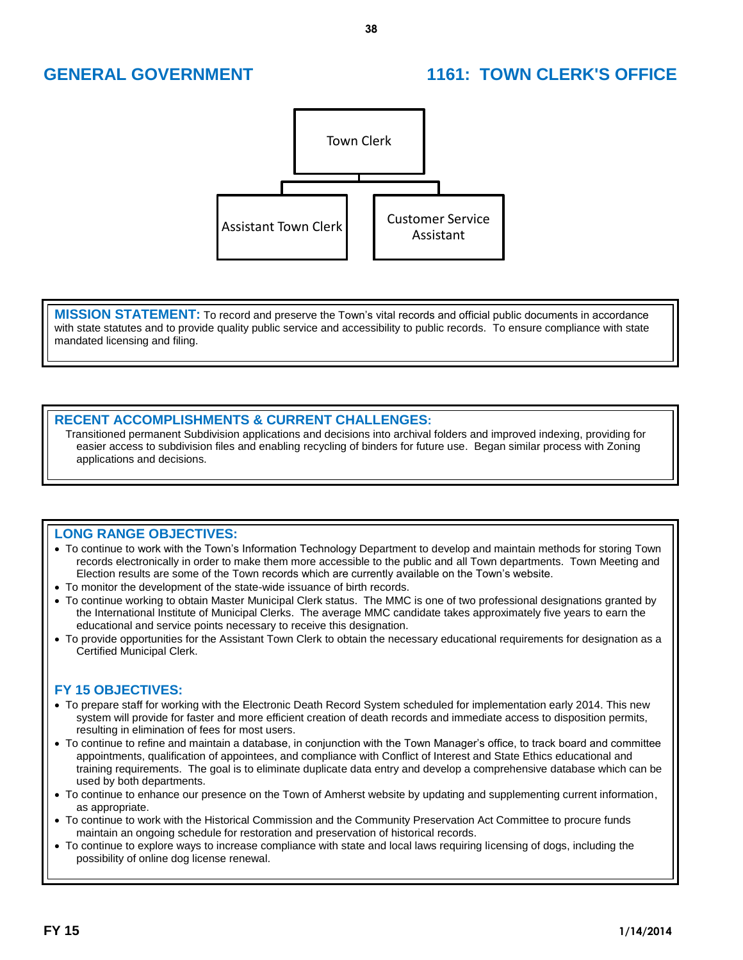

**MISSION STATEMENT:** To record and preserve the Town's vital records and official public documents in accordance with state statutes and to provide quality public service and accessibility to public records. To ensure compliance with state mandated licensing and filing.

### **RECENT ACCOMPLISHMENTS & CURRENT CHALLENGES:**

Transitioned permanent Subdivision applications and decisions into archival folders and improved indexing, providing for easier access to subdivision files and enabling recycling of binders for future use. Began similar process with Zoning applications and decisions.

### **LONG RANGE OBJECTIVES:**

- To continue to work with the Town's Information Technology Department to develop and maintain methods for storing Town records electronically in order to make them more accessible to the public and all Town departments. Town Meeting and Election results are some of the Town records which are currently available on the Town's website.
- To monitor the development of the state-wide issuance of birth records.
- To continue working to obtain Master Municipal Clerk status. The MMC is one of two professional designations granted by the International Institute of Municipal Clerks. The average MMC candidate takes approximately five years to earn the educational and service points necessary to receive this designation.
- To provide opportunities for the Assistant Town Clerk to obtain the necessary educational requirements for designation as a Certified Municipal Clerk.

- To prepare staff for working with the Electronic Death Record System scheduled for implementation early 2014. This new system will provide for faster and more efficient creation of death records and immediate access to disposition permits, resulting in elimination of fees for most users.
- To continue to refine and maintain a database, in conjunction with the Town Manager's office, to track board and committee appointments, qualification of appointees, and compliance with Conflict of Interest and State Ethics educational and training requirements. The goal is to eliminate duplicate data entry and develop a comprehensive database which can be used by both departments.
- To continue to enhance our presence on the Town of Amherst website by updating and supplementing current information, as appropriate.
- To continue to work with the Historical Commission and the Community Preservation Act Committee to procure funds maintain an ongoing schedule for restoration and preservation of historical records.
- To continue to explore ways to increase compliance with state and local laws requiring licensing of dogs, including the possibility of online dog license renewal.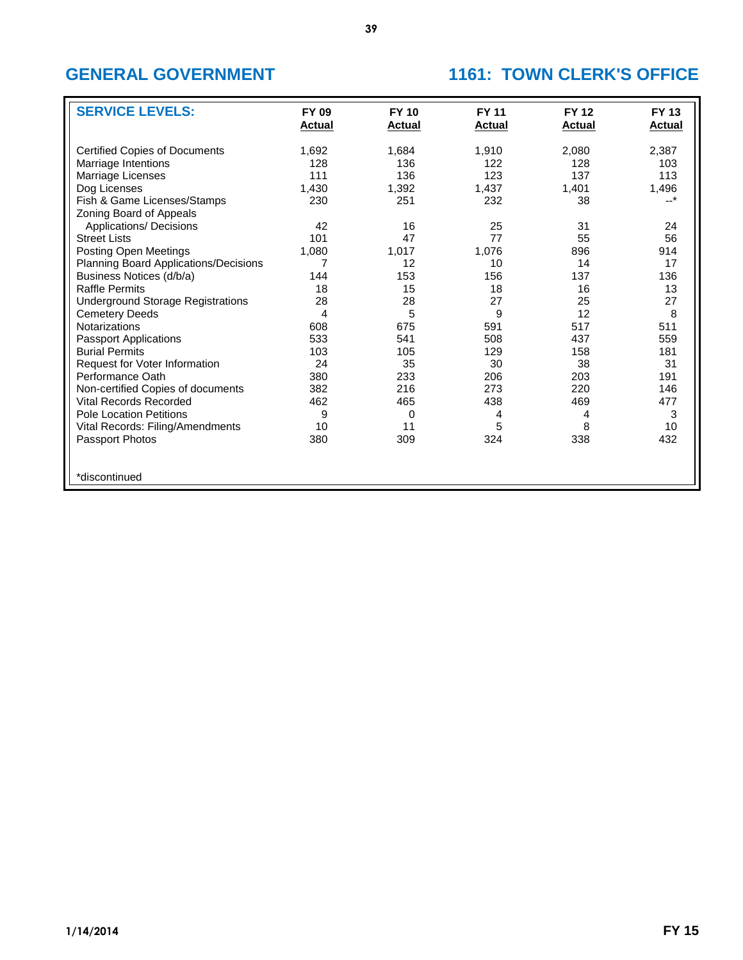# **GENERAL GOVERNMENT 1161: TOWN CLERK'S OFFICE**

| <b>SERVICE LEVELS:</b>                   | <b>FY 09</b><br><b>Actual</b> | <b>FY 10</b><br><b>Actual</b> | <b>FY 11</b><br><b>Actual</b> | <b>FY 12</b><br><b>Actual</b> | <b>FY 13</b><br><b>Actual</b> |
|------------------------------------------|-------------------------------|-------------------------------|-------------------------------|-------------------------------|-------------------------------|
| <b>Certified Copies of Documents</b>     | 1,692                         | 1,684                         | 1,910                         | 2,080                         | 2,387                         |
| Marriage Intentions                      | 128                           | 136                           | 122                           | 128                           | 103                           |
| Marriage Licenses                        | 111                           | 136                           | 123                           | 137                           | 113                           |
| Dog Licenses                             | 1,430                         | 1,392                         | 1,437                         | 1,401                         | 1,496                         |
| Fish & Game Licenses/Stamps              | 230                           | 251                           | 232                           | 38                            | $-$ *                         |
| Zoning Board of Appeals                  |                               |                               |                               |                               |                               |
| Applications/ Decisions                  | 42                            | 16                            | 25                            | 31                            | 24                            |
| <b>Street Lists</b>                      | 101                           | 47                            | 77                            | 55                            | 56                            |
| Posting Open Meetings                    | 1,080                         | 1.017                         | 1.076                         | 896                           | 914                           |
| Planning Board Applications/Decisions    | 7                             | 12                            | 10                            | 14                            | 17                            |
| Business Notices (d/b/a)                 | 144                           | 153                           | 156                           | 137                           | 136                           |
| <b>Raffle Permits</b>                    | 18                            | 15                            | 18                            | 16                            | 13                            |
| <b>Underground Storage Registrations</b> | 28                            | 28                            | 27                            | 25                            | 27                            |
| <b>Cemetery Deeds</b>                    | 4                             | 5                             | 9                             | 12                            | 8                             |
| <b>Notarizations</b>                     | 608                           | 675                           | 591                           | 517                           | 511                           |
| <b>Passport Applications</b>             | 533                           | 541                           | 508                           | 437                           | 559                           |
| <b>Burial Permits</b>                    | 103                           | 105                           | 129                           | 158                           | 181                           |
| Request for Voter Information            | 24                            | 35                            | 30                            | 38                            | 31                            |
| Performance Oath                         | 380                           | 233                           | 206                           | 203                           | 191                           |
| Non-certified Copies of documents        | 382                           | 216                           | 273                           | 220                           | 146                           |
| Vital Records Recorded                   | 462                           | 465                           | 438                           | 469                           | 477                           |
| <b>Pole Location Petitions</b>           | 9                             | 0                             | 4                             | 4                             | 3                             |
| Vital Records: Filing/Amendments         | 10                            | 11                            | 5                             | 8                             | 10                            |
| <b>Passport Photos</b>                   | 380                           | 309                           | 324                           | 338                           | 432                           |
| *discontinued                            |                               |                               |                               |                               |                               |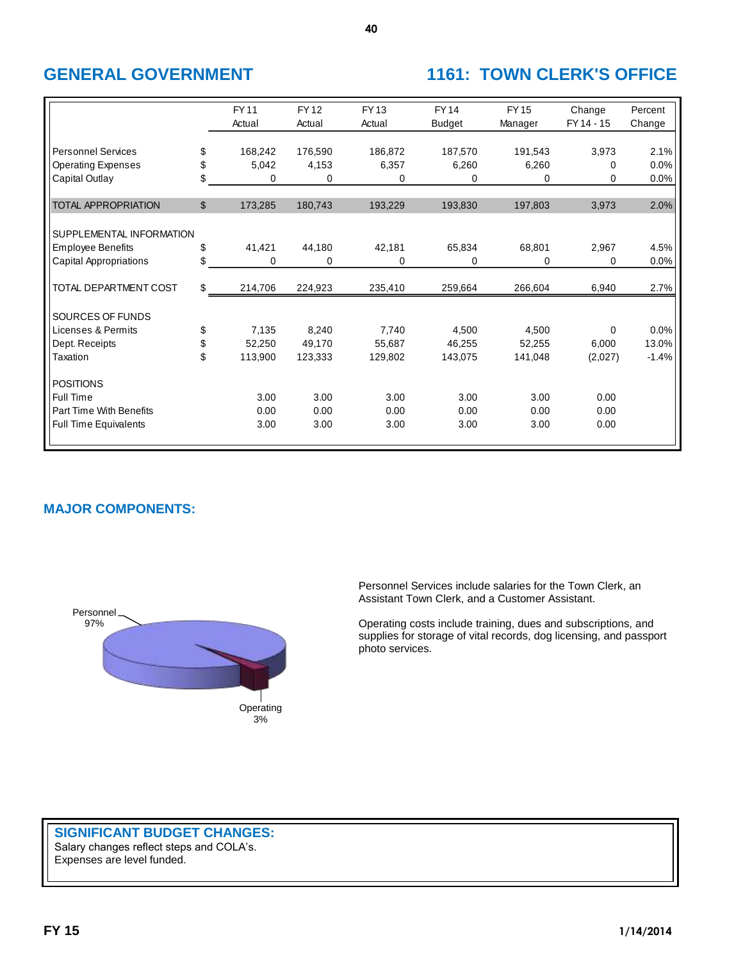# **GENERAL GOVERNMENT 1161: TOWN CLERK'S OFFICE**

|                               |                | FY 11<br>Actual | <b>FY12</b><br>Actual | FY13<br>Actual | FY 14<br>Budget | <b>FY15</b><br>Manager | Change<br>FY 14 - 15 | Percent<br>Change |
|-------------------------------|----------------|-----------------|-----------------------|----------------|-----------------|------------------------|----------------------|-------------------|
| <b>Personnel Services</b>     |                | 168,242         | 176,590               | 186,872        | 187,570         | 191,543                | 3,973                | 2.1%              |
|                               | \$             |                 |                       |                |                 |                        |                      |                   |
| <b>Operating Expenses</b>     | \$<br>\$       | 5,042           | 4,153                 | 6,357          | 6,260           | 6,260                  | $\Omega$             | 0.0%<br>0.0%      |
| Capital Outlay                |                | 0               | 0                     | 0              | 0               | 0                      | 0                    |                   |
| <b>TOTAL APPROPRIATION</b>    | $\mathfrak{S}$ | 173,285         | 180,743               | 193,229        | 193,830         | 197,803                | 3,973                | 2.0%              |
| SUPPLEMENTAL INFORMATION      |                |                 |                       |                |                 |                        |                      |                   |
| <b>Employee Benefits</b>      | \$             | 41,421          | 44,180                | 42,181         | 65,834          | 68,801                 | 2,967                | 4.5%              |
| <b>Capital Appropriations</b> | \$             | $\Omega$        | 0                     | 0              | 0               | 0                      | $\Omega$             | 0.0%              |
|                               |                |                 |                       |                |                 |                        |                      |                   |
| TOTAL DEPARTMENT COST         | \$             | 214,706         | 224,923               | 235,410        | 259,664         | 266,604                | 6,940                | 2.7%              |
| SOURCES OF FUNDS              |                |                 |                       |                |                 |                        |                      |                   |
| Licenses & Permits            | \$             | 7,135           | 8,240                 | 7,740          | 4,500           | 4,500                  | 0                    | 0.0%              |
| Dept. Receipts                | \$             | 52,250          | 49,170                | 55,687         | 46,255          | 52,255                 | 6,000                | 13.0%             |
| Taxation                      | \$             | 113,900         | 123,333               | 129,802        | 143,075         | 141,048                | (2,027)              | $-1.4%$           |
| <b>POSITIONS</b>              |                |                 |                       |                |                 |                        |                      |                   |
| Full Time                     |                | 3.00            | 3.00                  | 3.00           | 3.00            | 3.00                   | 0.00                 |                   |
| Part Time With Benefits       |                | 0.00            | 0.00                  | 0.00           | 0.00            | 0.00                   | 0.00                 |                   |
| <b>Full Time Equivalents</b>  |                | 3.00            | 3.00                  | 3.00           | 3.00            | 3.00                   | 0.00                 |                   |

### **MAJOR COMPONENTS:**



Personnel Services include salaries for the Town Clerk, an Assistant Town Clerk, and a Customer Assistant.

Operating costs include training, dues and subscriptions, and supplies for storage of vital records, dog licensing, and passport photo services.

**SIGNIFICANT BUDGET CHANGES:** Salary changes reflect steps and COLA's.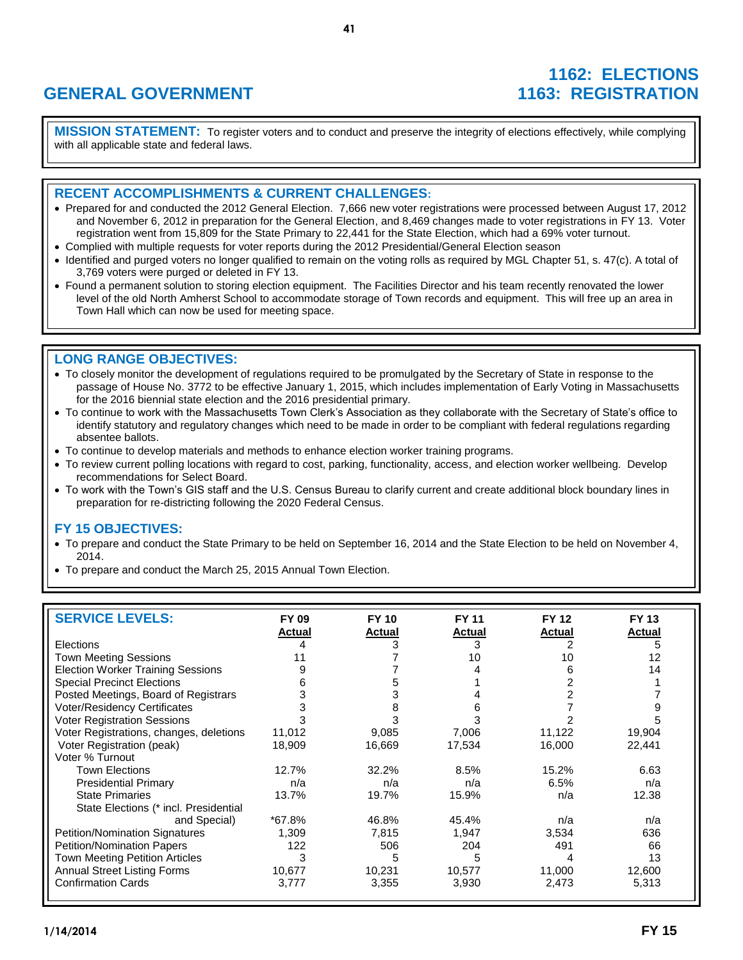# **GENERAL GOVERNMENT 1163: REGISTRATION**

# **1162: ELECTIONS**

**MISSION STATEMENT:** To register voters and to conduct and preserve the integrity of elections effectively, while complying with all applicable state and federal laws.

### **RECENT ACCOMPLISHMENTS & CURRENT CHALLENGES:**

- Prepared for and conducted the 2012 General Election. 7,666 new voter registrations were processed between August 17, 2012 and November 6, 2012 in preparation for the General Election, and 8,469 changes made to voter registrations in FY 13. Voter registration went from 15,809 for the State Primary to 22,441 for the State Election, which had a 69% voter turnout.
- Complied with multiple requests for voter reports during the 2012 Presidential/General Election season
- Identified and purged voters no longer qualified to remain on the voting rolls as required by MGL Chapter 51, s. 47(c). A total of 3,769 voters were purged or deleted in FY 13.
- Found a permanent solution to storing election equipment. The Facilities Director and his team recently renovated the lower level of the old North Amherst School to accommodate storage of Town records and equipment. This will free up an area in Town Hall which can now be used for meeting space.

### **LONG RANGE OBJECTIVES:**

- To closely monitor the development of regulations required to be promulgated by the Secretary of State in response to the passage of House No. 3772 to be effective January 1, 2015, which includes implementation of Early Voting in Massachusetts for the 2016 biennial state election and the 2016 presidential primary.
- To continue to work with the Massachusetts Town Clerk's Association as they collaborate with the Secretary of State's office to identify statutory and regulatory changes which need to be made in order to be compliant with federal regulations regarding absentee ballots.
- To continue to develop materials and methods to enhance election worker training programs.
- To review current polling locations with regard to cost, parking, functionality, access, and election worker wellbeing. Develop recommendations for Select Board.
- To work with the Town's GIS staff and the U.S. Census Bureau to clarify current and create additional block boundary lines in preparation for re-districting following the 2020 Federal Census.

- To prepare and conduct the State Primary to be held on September 16, 2014 and the State Election to be held on November 4, 2014.
- To prepare and conduct the March 25, 2015 Annual Town Election.

| <b>SERVICE LEVELS:</b>                   | <b>FY 09</b>  | <b>FY 10</b> | <b>FY 11</b>  | <b>FY 12</b>  | <b>FY 13</b>  |
|------------------------------------------|---------------|--------------|---------------|---------------|---------------|
|                                          | <b>Actual</b> | Actual       | <b>Actual</b> | <b>Actual</b> | <b>Actual</b> |
| <b>Elections</b>                         |               |              |               |               |               |
| <b>Town Meeting Sessions</b>             | 11            |              | 10            | 10            | 12            |
| <b>Election Worker Training Sessions</b> | 9             |              |               |               | 14            |
| <b>Special Precinct Elections</b>        | 6             |              |               |               |               |
| Posted Meetings, Board of Registrars     | 3             |              |               |               |               |
| <b>Voter/Residency Certificates</b>      | 3             |              |               |               |               |
| <b>Voter Registration Sessions</b>       |               |              |               |               |               |
| Voter Registrations, changes, deletions  | 11,012        | 9,085        | 7,006         | 11,122        | 19,904        |
| Voter Registration (peak)                | 18,909        | 16,669       | 17,534        | 16,000        | 22,441        |
| Voter % Turnout                          |               |              |               |               |               |
| <b>Town Elections</b>                    | 12.7%         | 32.2%        | 8.5%          | 15.2%         | 6.63          |
| <b>Presidential Primary</b>              | n/a           | n/a          | n/a           | 6.5%          | n/a           |
| <b>State Primaries</b>                   | 13.7%         | 19.7%        | 15.9%         | n/a           | 12.38         |
| State Elections (* incl. Presidential    |               |              |               |               |               |
| and Special)                             | *67.8%        | 46.8%        | 45.4%         | n/a           | n/a           |
| <b>Petition/Nomination Signatures</b>    | 1,309         | 7,815        | 1,947         | 3,534         | 636           |
| <b>Petition/Nomination Papers</b>        | 122           | 506          | 204           | 491           | 66            |
| <b>Town Meeting Petition Articles</b>    | 3             | 5            | 5             |               | 13            |
| <b>Annual Street Listing Forms</b>       | 10,677        | 10,231       | 10,577        | 11,000        | 12,600        |
| <b>Confirmation Cards</b>                | 3,777         | 3,355        | 3,930         | 2,473         | 5,313         |
|                                          |               |              |               |               |               |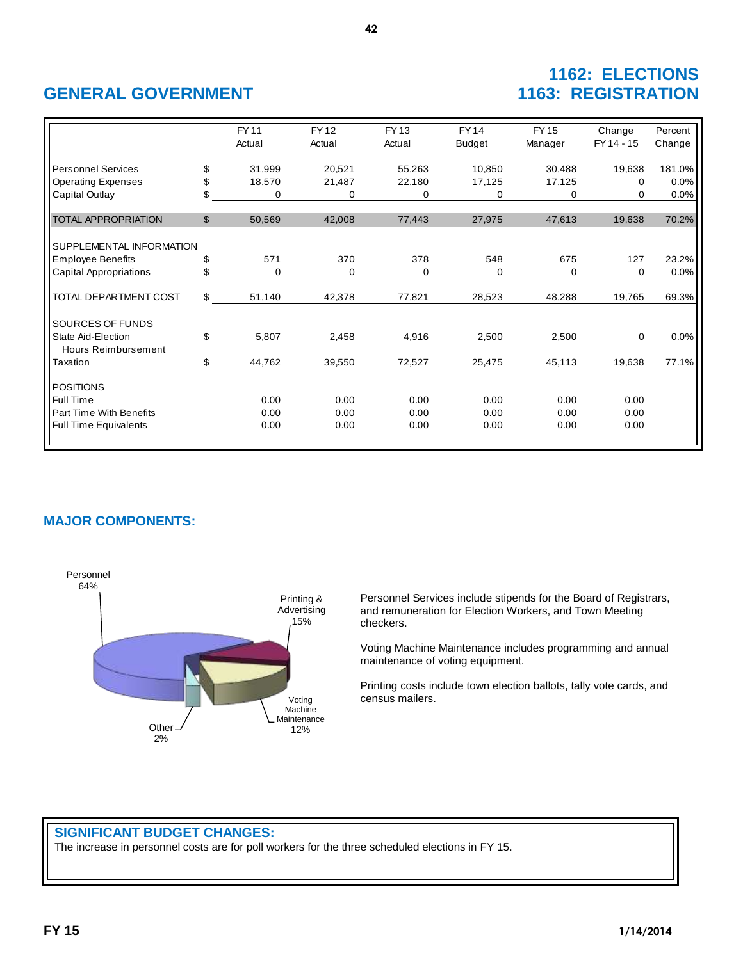# **GENERAL GOVERNMENT**

# **1162: ELECTIONS**

|                                                        |               | <b>FY11</b><br>Actual | <b>FY12</b><br>Actual | FY 13<br>Actual  | <b>FY14</b><br><b>Budget</b> | <b>FY15</b><br>Manager | Change<br>FY 14 - 15 | Percent<br>Change |
|--------------------------------------------------------|---------------|-----------------------|-----------------------|------------------|------------------------------|------------------------|----------------------|-------------------|
| <b>Personnel Services</b><br><b>Operating Expenses</b> | \$<br>\$      | 31,999<br>18,570      | 20,521<br>21,487      | 55,263<br>22,180 | 10,850<br>17,125             | 30,488<br>17,125       | 19,638<br>0          | 181.0%<br>0.0%    |
| Capital Outlay                                         |               | 0                     | 0                     | 0                | 0                            | 0                      | 0                    | 0.0%              |
| <b>TOTAL APPROPRIATION</b>                             | $\mathsf{\$}$ | 50,569                | 42,008                | 77,443           | 27,975                       | 47,613                 | 19,638               | 70.2%             |
| SUPPLEMENTAL INFORMATION                               |               |                       |                       |                  |                              |                        |                      |                   |
| <b>Employee Benefits</b>                               | \$            | 571                   | 370                   | 378              | 548                          | 675                    | 127                  | 23.2%             |
| <b>Capital Appropriations</b>                          | \$            | 0                     | 0                     | 0                | $\Omega$                     | 0                      | 0                    | 0.0%              |
| <b>TOTAL DEPARTMENT COST</b>                           | \$            | 51,140                | 42,378                | 77,821           | 28,523                       | 48,288                 | 19,765               | 69.3%             |
| SOURCES OF FUNDS                                       |               |                       |                       |                  |                              |                        |                      |                   |
| State Aid-Election<br>Hours Reimbursement              | \$            | 5,807                 | 2,458                 | 4,916            | 2,500                        | 2,500                  | $\mathbf 0$          | 0.0%              |
| Taxation                                               | \$            | 44,762                | 39,550                | 72,527           | 25,475                       | 45,113                 | 19,638               | 77.1%             |
| <b>POSITIONS</b>                                       |               |                       |                       |                  |                              |                        |                      |                   |
| Full Time                                              |               | 0.00                  | 0.00                  | 0.00             | 0.00                         | 0.00                   | 0.00                 |                   |
| Part Time With Benefits                                |               | 0.00                  | 0.00                  | 0.00             | 0.00                         | 0.00                   | 0.00                 |                   |
| <b>Full Time Equivalents</b>                           |               | 0.00                  | 0.00                  | 0.00             | 0.00                         | 0.00                   | 0.00                 |                   |

### **MAJOR COMPONENTS:**



Personnel Services include stipends for the Board of Registrars, and remuneration for Election Workers, and Town Meeting checkers.

Voting Machine Maintenance includes programming and annual maintenance of voting equipment.

Printing costs include town election ballots, tally vote cards, and census mailers.

### **SIGNIFICANT BUDGET CHANGES:**

The increase in personnel costs are for poll workers for the three scheduled elections in FY 15.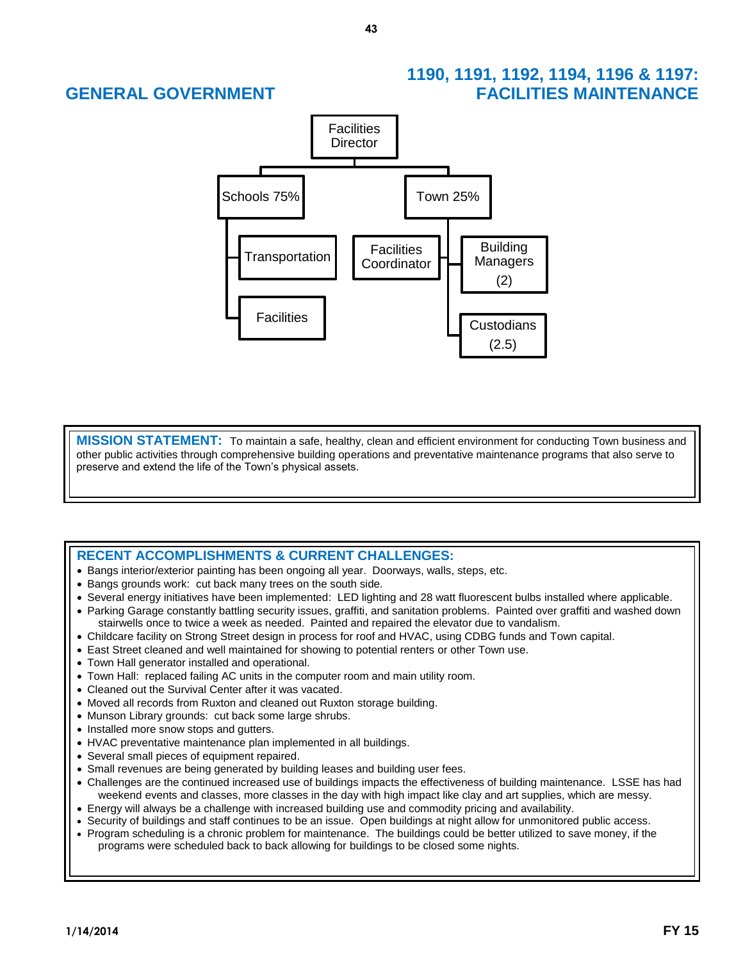### **1190, 1191, 1192, 1194, 1196 & 1197: GENERAL GOVERNMENT FACILITIES MAINTENANCE**



### **MISSION STATEMENT:** To maintain a safe, healthy, clean and efficient environment for conducting Town business and other public activities through comprehensive building operations and preventative maintenance programs that also serve to preserve and extend the life of the Town's physical assets.

### **RECENT ACCOMPLISHMENTS & CURRENT CHALLENGES:**

- Bangs interior/exterior painting has been ongoing all year. Doorways, walls, steps, etc.
- Bangs grounds work: cut back many trees on the south side.
- Several energy initiatives have been implemented: LED lighting and 28 watt fluorescent bulbs installed where applicable.
- Parking Garage constantly battling security issues, graffiti, and sanitation problems. Painted over graffiti and washed down stairwells once to twice a week as needed. Painted and repaired the elevator due to vandalism.
- Childcare facility on Strong Street design in process for roof and HVAC, using CDBG funds and Town capital.
- East Street cleaned and well maintained for showing to potential renters or other Town use.
- Town Hall generator installed and operational.
- Town Hall: replaced failing AC units in the computer room and main utility room.
- Cleaned out the Survival Center after it was vacated.
- Moved all records from Ruxton and cleaned out Ruxton storage building.
- Munson Library grounds: cut back some large shrubs.
- Installed more snow stops and gutters.
- HVAC preventative maintenance plan implemented in all buildings.
- Several small pieces of equipment repaired.
- Small revenues are being generated by building leases and building user fees.
- Challenges are the continued increased use of buildings impacts the effectiveness of building maintenance. LSSE has had weekend events and classes, more classes in the day with high impact like clay and art supplies, which are messy.
- Energy will always be a challenge with increased building use and commodity pricing and availability.
- Security of buildings and staff continues to be an issue. Open buildings at night allow for unmonitored public access.
- Program scheduling is a chronic problem for maintenance. The buildings could be better utilized to save money, if the programs were scheduled back to back allowing for buildings to be closed some nights.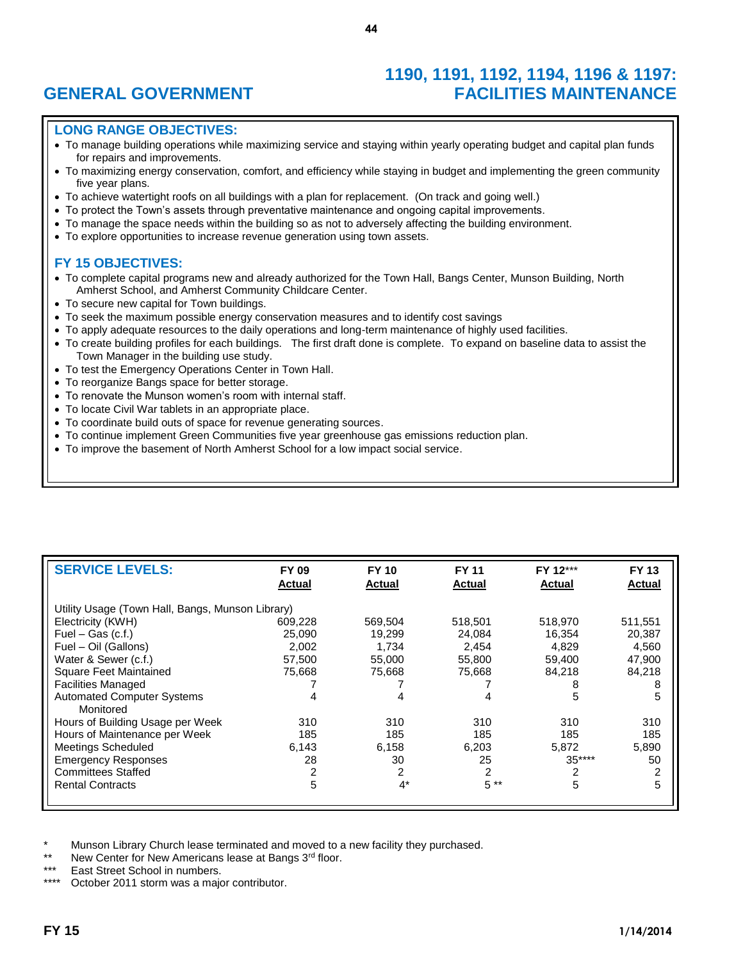## **1190, 1191, 1192, 1194, 1196 & 1197: GENERAL GOVERNMENT FACILITIES MAINTENANCE**

### **LONG RANGE OBJECTIVES:**

- To manage building operations while maximizing service and staying within yearly operating budget and capital plan funds for repairs and improvements.
- To maximizing energy conservation, comfort, and efficiency while staying in budget and implementing the green community five year plans.
- To achieve watertight roofs on all buildings with a plan for replacement. (On track and going well.)
- To protect the Town's assets through preventative maintenance and ongoing capital improvements.
- To manage the space needs within the building so as not to adversely affecting the building environment.
- To explore opportunities to increase revenue generation using town assets.

### **FY 15 OBJECTIVES:**

- To complete capital programs new and already authorized for the Town Hall, Bangs Center, Munson Building, North Amherst School, and Amherst Community Childcare Center.
- To secure new capital for Town buildings.
- To seek the maximum possible energy conservation measures and to identify cost savings
- To apply adequate resources to the daily operations and long-term maintenance of highly used facilities.
- To create building profiles for each buildings. The first draft done is complete. To expand on baseline data to assist the Town Manager in the building use study.
- To test the Emergency Operations Center in Town Hall.
- To reorganize Bangs space for better storage.
- To renovate the Munson women's room with internal staff.
- To locate Civil War tablets in an appropriate place.
- To coordinate build outs of space for revenue generating sources.
- To continue implement Green Communities five year greenhouse gas emissions reduction plan.
- To improve the basement of North Amherst School for a low impact social service.

| <b>SERVICE LEVELS:</b>                           | <b>FY 09</b><br><b>Actual</b> | <b>FY 10</b><br>Actual | <b>FY 11</b><br><b>Actual</b> | FY 12***<br><b>Actual</b> | <b>FY 13</b><br><b>Actual</b> |
|--------------------------------------------------|-------------------------------|------------------------|-------------------------------|---------------------------|-------------------------------|
| Utility Usage (Town Hall, Bangs, Munson Library) |                               |                        |                               |                           |                               |
| Electricity (KWH)                                | 609,228                       | 569,504                | 518,501                       | 518,970                   | 511,551                       |
| Fuel – Gas $(c.f.)$                              | 25,090                        | 19,299                 | 24.084                        | 16.354                    | 20,387                        |
| Fuel - Oil (Gallons)                             | 2,002                         | 1,734                  | 2,454                         | 4.829                     | 4,560                         |
| Water & Sewer (c.f.)                             | 57,500                        | 55,000                 | 55,800                        | 59,400                    | 47,900                        |
| Square Feet Maintained                           | 75.668                        | 75.668                 | 75.668                        | 84.218                    | 84,218                        |
| <b>Facilities Managed</b>                        |                               |                        |                               | 8                         | 8                             |
| <b>Automated Computer Systems</b><br>Monitored   | 4                             | 4                      | 4                             | 5                         | 5                             |
| Hours of Building Usage per Week                 | 310                           | 310                    | 310                           | 310                       | 310                           |
| Hours of Maintenance per Week                    | 185                           | 185                    | 185                           | 185                       | 185                           |
| <b>Meetings Scheduled</b>                        | 6,143                         | 6,158                  | 6,203                         | 5,872                     | 5,890                         |
| <b>Emergency Responses</b>                       | 28                            | 30                     | 25                            | $35***$                   | 50                            |
| <b>Committees Staffed</b>                        | 2                             | $\overline{2}$         | 2                             | 2                         | $\overline{2}$                |
| <b>Rental Contracts</b>                          | 5                             | $4^*$                  | $5**$                         | 5                         | 5                             |

Munson Library Church lease terminated and moved to a new facility they purchased.

New Center for New Americans lease at Bangs 3rd floor.

\*\*\* East Street School in numbers.<br>\*\*\*\* October 2011 sterm was a major

October 2011 storm was a major contributor.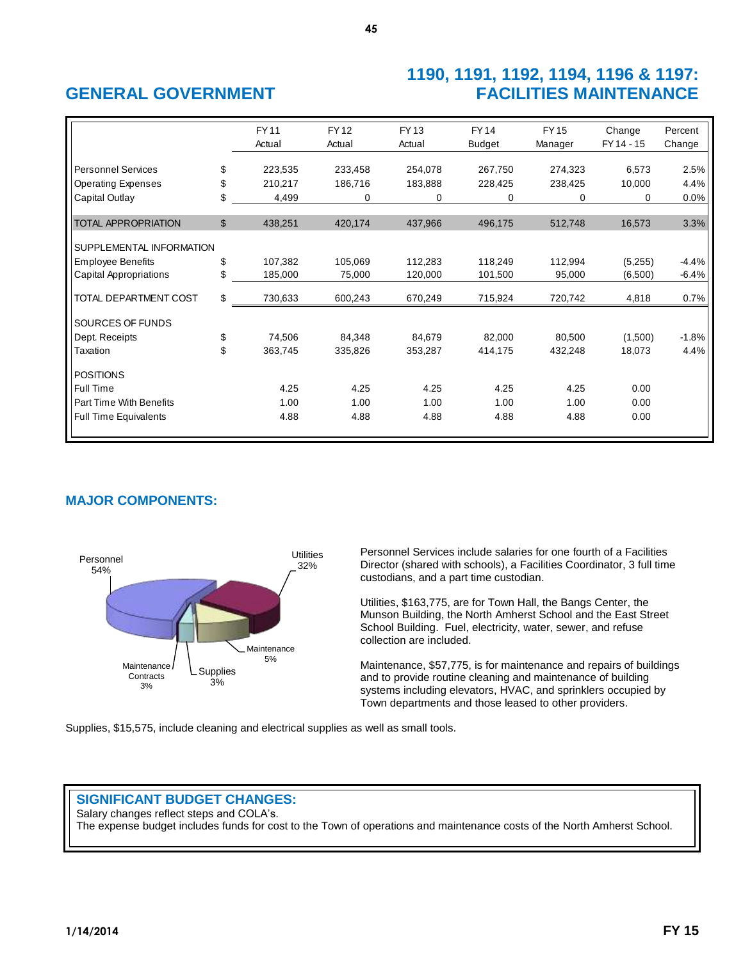## **1190, 1191, 1192, 1194, 1196 & 1197: GENERAL GOVERNMENT FACILITIES MAINTENANCE**

|                              | FY 11<br>Actual | <b>FY12</b><br>Actual | FY 13<br>Actual | <b>FY14</b><br><b>Budget</b> | <b>FY15</b><br>Manager | Change<br>FY 14 - 15 | Percent<br>Change |
|------------------------------|-----------------|-----------------------|-----------------|------------------------------|------------------------|----------------------|-------------------|
|                              |                 |                       |                 |                              |                        |                      |                   |
| <b>Personnel Services</b>    | \$<br>223,535   | 233,458               | 254,078         | 267,750                      | 274,323                | 6,573                | 2.5%              |
| <b>Operating Expenses</b>    | \$<br>210,217   | 186,716               | 183,888         | 228,425                      | 238,425                | 10,000               | 4.4%              |
| Capital Outlay               | \$<br>4,499     | 0                     | 0               | 0                            | 0                      | 0                    | 0.0%              |
|                              |                 |                       |                 |                              |                        |                      |                   |
| <b>TOTAL APPROPRIATION</b>   | \$<br>438,251   | 420,174               | 437,966         | 496,175                      | 512,748                | 16,573               | 3.3%              |
| SUPPLEMENTAL INFORMATION     |                 |                       |                 |                              |                        |                      |                   |
|                              |                 |                       |                 |                              |                        |                      |                   |
| <b>Employee Benefits</b>     | \$<br>107,382   | 105,069               | 112,283         | 118,249                      | 112,994                | (5,255)              | $-4.4%$           |
| Capital Appropriations       | \$<br>185,000   | 75,000                | 120,000         | 101,500                      | 95,000                 | (6,500)              | $-6.4%$           |
| TOTAL DEPARTMENT COST        | \$<br>730,633   | 600,243               | 670,249         | 715,924                      | 720,742                | 4,818                | 0.7%              |
| SOURCES OF FUNDS             |                 |                       |                 |                              |                        |                      |                   |
| Dept. Receipts               | \$<br>74,506    | 84,348                | 84,679          | 82,000                       | 80,500                 | (1,500)              | $-1.8%$           |
| Taxation                     | \$<br>363,745   | 335,826               | 353,287         | 414,175                      | 432,248                | 18,073               | 4.4%              |
| <b>POSITIONS</b>             |                 |                       |                 |                              |                        |                      |                   |
| Full Time                    | 4.25            | 4.25                  | 4.25            | 4.25                         | 4.25                   | 0.00                 |                   |
| Part Time With Benefits      | 1.00            | 1.00                  | 1.00            | 1.00                         | 1.00                   | 0.00                 |                   |
| <b>Full Time Equivalents</b> | 4.88            | 4.88                  | 4.88            | 4.88                         | 4.88                   | 0.00                 |                   |

### **MAJOR COMPONENTS:**



Personnel Services include salaries for one fourth of a Facilities Director (shared with schools), a Facilities Coordinator, 3 full time custodians, and a part time custodian.

Utilities, \$163,775, are for Town Hall, the Bangs Center, the Munson Building, the North Amherst School and the East Street School Building. Fuel, electricity, water, sewer, and refuse collection are included.

Maintenance, \$57,775, is for maintenance and repairs of buildings and to provide routine cleaning and maintenance of building systems including elevators, HVAC, and sprinklers occupied by Town departments and those leased to other providers.

Supplies, \$15,575, include cleaning and electrical supplies as well as small tools.

### **SIGNIFICANT BUDGET CHANGES:**

Salary changes reflect steps and COLA's.

The expense budget includes funds for cost to the Town of operations and maintenance costs of the North Amherst School.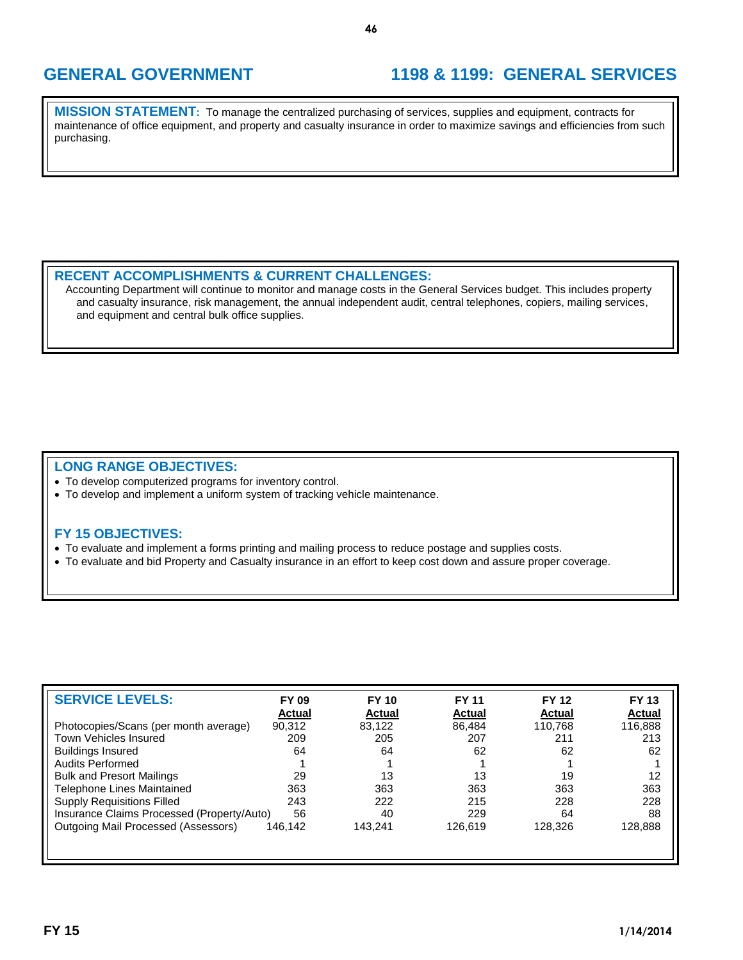# **GENERAL GOVERNMENT 1198 & 1199: GENERAL SERVICES**

**MISSION STATEMENT:** To manage the centralized purchasing of services, supplies and equipment, contracts for maintenance of office equipment, and property and casualty insurance in order to maximize savings and efficiencies from such purchasing.

### **RECENT ACCOMPLISHMENTS & CURRENT CHALLENGES:**

Accounting Department will continue to monitor and manage costs in the General Services budget. This includes property and casualty insurance, risk management, the annual independent audit, central telephones, copiers, mailing services, and equipment and central bulk office supplies.

### **LONG RANGE OBJECTIVES:**

- To develop computerized programs for inventory control.
- To develop and implement a uniform system of tracking vehicle maintenance.

- To evaluate and implement a forms printing and mailing process to reduce postage and supplies costs.
- To evaluate and bid Property and Casualty insurance in an effort to keep cost down and assure proper coverage.

| <b>SERVICE LEVELS:</b>                     | <b>FY 09</b><br><b>Actual</b> | <b>FY 10</b><br><b>Actual</b> | <b>FY 11</b><br><b>Actual</b> | <b>FY 12</b><br><b>Actual</b> | <b>FY 13</b><br><b>Actual</b> |
|--------------------------------------------|-------------------------------|-------------------------------|-------------------------------|-------------------------------|-------------------------------|
| Photocopies/Scans (per month average)      | 90,312                        | 83,122                        | 86,484                        | 110,768                       | 116,888                       |
| Town Vehicles Insured                      | 209                           | 205                           | 207                           | 211                           | 213                           |
| <b>Buildings Insured</b>                   | 64                            | 64                            | 62                            | 62                            | 62                            |
| Audits Performed                           |                               |                               |                               |                               |                               |
| <b>Bulk and Presort Mailings</b>           | 29                            | 13                            | 13                            | 19                            | 12                            |
| Telephone Lines Maintained                 | 363                           | 363                           | 363                           | 363                           | 363                           |
| <b>Supply Requisitions Filled</b>          | 243                           | 222                           | 215                           | 228                           | 228                           |
| Insurance Claims Processed (Property/Auto) | 56                            | 40                            | 229                           | 64                            | 88                            |
| <b>Outgoing Mail Processed (Assessors)</b> | 146.142                       | 143.241                       | 126,619                       | 128.326                       | 128,888                       |
|                                            |                               |                               |                               |                               |                               |
|                                            |                               |                               |                               |                               |                               |